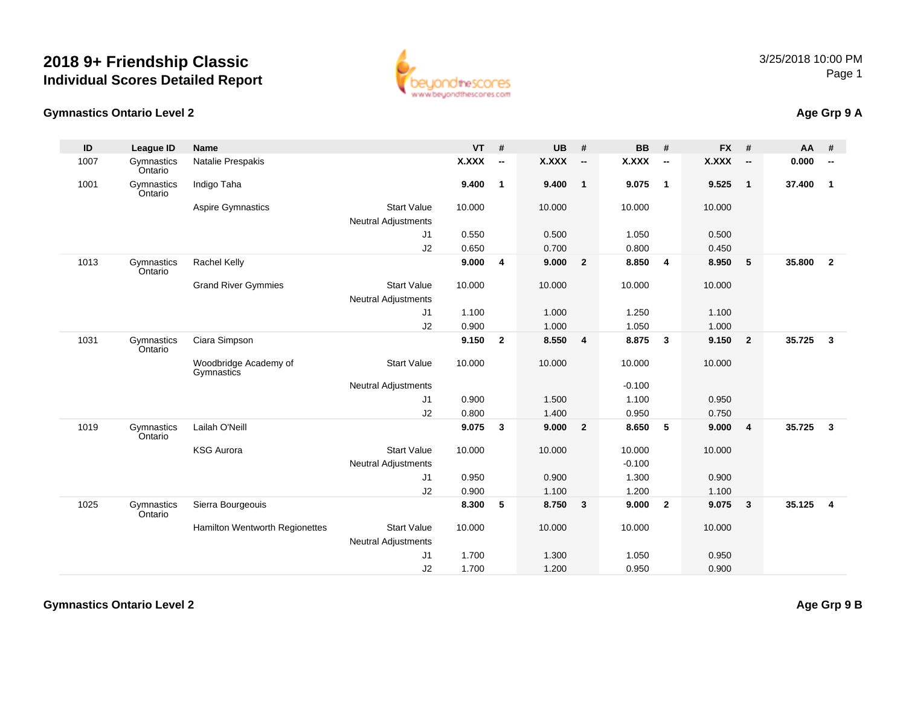**Gymnastics Ontario Level 2**



## **Age Grp 9 A**

| ID   | League ID             | <b>Name</b>                         |                            | $VT$ #       |                          | <b>UB</b>    | #                        | <b>BB</b>    | #                       | <b>FX</b>    | #                        | AA     | #                        |
|------|-----------------------|-------------------------------------|----------------------------|--------------|--------------------------|--------------|--------------------------|--------------|-------------------------|--------------|--------------------------|--------|--------------------------|
| 1007 | Gymnastics<br>Ontario | Natalie Prespakis                   |                            | <b>X.XXX</b> | $\overline{\phantom{a}}$ | <b>X.XXX</b> | $\overline{\phantom{a}}$ | <b>X.XXX</b> | $\sim$                  | <b>X.XXX</b> | $\overline{\phantom{a}}$ | 0.000  | $\overline{\phantom{a}}$ |
| 1001 | Gymnastics<br>Ontario | Indigo Taha                         |                            | 9.400        | $\mathbf{1}$             | 9.400        | $\overline{1}$           | 9.075        | $\overline{\mathbf{1}}$ | 9.525        | $\overline{1}$           | 37.400 | $\mathbf{1}$             |
|      |                       | Aspire Gymnastics                   | <b>Start Value</b>         | 10.000       |                          | 10.000       |                          | 10.000       |                         | 10.000       |                          |        |                          |
|      |                       |                                     | <b>Neutral Adjustments</b> |              |                          |              |                          |              |                         |              |                          |        |                          |
|      |                       |                                     | J1                         | 0.550        |                          | 0.500        |                          | 1.050        |                         | 0.500        |                          |        |                          |
|      |                       |                                     | J2                         | 0.650        |                          | 0.700        |                          | 0.800        |                         | 0.450        |                          |        |                          |
| 1013 | Gymnastics<br>Ontario | Rachel Kelly                        |                            | 9.000        | 4                        | 9.000        | $\mathbf{2}$             | 8.850        | $\overline{\mathbf{4}}$ | 8.950        | 5                        | 35.800 | $\overline{2}$           |
|      |                       | <b>Grand River Gymmies</b>          | <b>Start Value</b>         | 10.000       |                          | 10.000       |                          | 10.000       |                         | 10.000       |                          |        |                          |
|      |                       |                                     | <b>Neutral Adjustments</b> |              |                          |              |                          |              |                         |              |                          |        |                          |
|      |                       |                                     | J1                         | 1.100        |                          | 1.000        |                          | 1.250        |                         | 1.100        |                          |        |                          |
|      |                       |                                     | J2                         | 0.900        |                          | 1.000        |                          | 1.050        |                         | 1.000        |                          |        |                          |
| 1031 | Gymnastics<br>Ontario | Ciara Simpson                       |                            | 9.150        | $\overline{2}$           | 8.550        | $\overline{4}$           | 8.875        | $\mathbf{3}$            | 9.150        | $\overline{\mathbf{2}}$  | 35.725 | $\mathbf{3}$             |
|      |                       | Woodbridge Academy of<br>Gymnastics | <b>Start Value</b>         | 10.000       |                          | 10.000       |                          | 10.000       |                         | 10.000       |                          |        |                          |
|      |                       |                                     | <b>Neutral Adjustments</b> |              |                          |              |                          | $-0.100$     |                         |              |                          |        |                          |
|      |                       |                                     | J <sub>1</sub>             | 0.900        |                          | 1.500        |                          | 1.100        |                         | 0.950        |                          |        |                          |
|      |                       |                                     | J2                         | 0.800        |                          | 1.400        |                          | 0.950        |                         | 0.750        |                          |        |                          |
| 1019 | Gymnastics<br>Ontario | Lailah O'Neill                      |                            | 9.075        | 3                        | 9.000        | $\overline{2}$           | 8.650        | 5                       | 9.000        | $\overline{4}$           | 35.725 | $\mathbf{3}$             |
|      |                       | <b>KSG Aurora</b>                   | <b>Start Value</b>         | 10.000       |                          | 10.000       |                          | 10.000       |                         | 10.000       |                          |        |                          |
|      |                       |                                     | <b>Neutral Adjustments</b> |              |                          |              |                          | $-0.100$     |                         |              |                          |        |                          |
|      |                       |                                     | J1                         | 0.950        |                          | 0.900        |                          | 1.300        |                         | 0.900        |                          |        |                          |
|      |                       |                                     | J2                         | 0.900        |                          | 1.100        |                          | 1.200        |                         | 1.100        |                          |        |                          |
| 1025 | Gymnastics<br>Ontario | Sierra Bourgeouis                   |                            | 8.300        | 5                        | 8.750        | $\mathbf{3}$             | 9.000        | $\overline{2}$          | 9.075        | $\overline{\mathbf{3}}$  | 35.125 | $\overline{4}$           |
|      |                       | Hamilton Wentworth Regionettes      | <b>Start Value</b>         | 10.000       |                          | 10.000       |                          | 10.000       |                         | 10.000       |                          |        |                          |
|      |                       |                                     | <b>Neutral Adjustments</b> |              |                          |              |                          |              |                         |              |                          |        |                          |
|      |                       |                                     | J1                         | 1.700        |                          | 1.300        |                          | 1.050        |                         | 0.950        |                          |        |                          |
|      |                       |                                     | J2                         | 1.700        |                          | 1.200        |                          | 0.950        |                         | 0.900        |                          |        |                          |

**Gymnastics Ontario Level 2**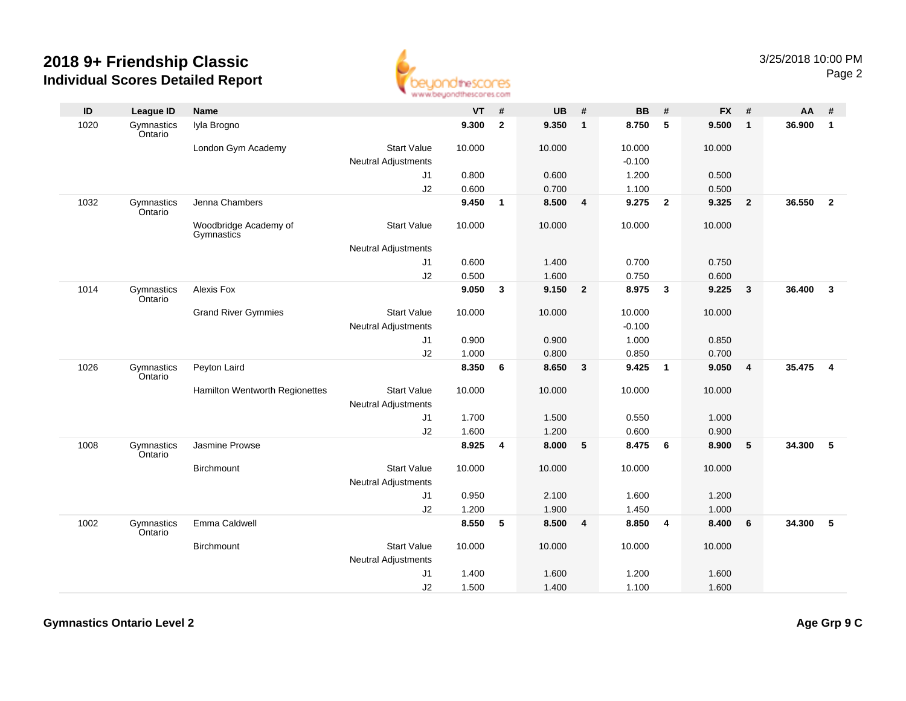

| ID   | League ID             | <b>Name</b>                         |                                                  | <b>VT</b> | #            | <b>UB</b> | #              | <b>BB</b> | #              | <b>FX</b> | #                       | AA     | #              |
|------|-----------------------|-------------------------------------|--------------------------------------------------|-----------|--------------|-----------|----------------|-----------|----------------|-----------|-------------------------|--------|----------------|
| 1020 | Gymnastics<br>Ontario | Iyla Brogno                         |                                                  | 9.300     | $\mathbf{2}$ | 9.350     | $\mathbf{1}$   | 8.750     | 5              | 9.500     | $\overline{\mathbf{1}}$ | 36.900 | $\mathbf{1}$   |
|      |                       | London Gym Academy                  | <b>Start Value</b>                               | 10.000    |              | 10.000    |                | 10.000    |                | 10.000    |                         |        |                |
|      |                       |                                     | <b>Neutral Adjustments</b>                       |           |              |           |                | $-0.100$  |                |           |                         |        |                |
|      |                       |                                     | J1                                               | 0.800     |              | 0.600     |                | 1.200     |                | 0.500     |                         |        |                |
|      |                       |                                     | J2                                               | 0.600     |              | 0.700     |                | 1.100     |                | 0.500     |                         |        |                |
| 1032 | Gymnastics<br>Ontario | Jenna Chambers                      |                                                  | 9.450     | $\mathbf{1}$ | 8.500     | 4              | 9.275     | $\overline{2}$ | 9.325     | $\overline{\mathbf{2}}$ | 36.550 | $\overline{2}$ |
|      |                       | Woodbridge Academy of<br>Gymnastics | <b>Start Value</b>                               | 10.000    |              | 10.000    |                | 10.000    |                | 10.000    |                         |        |                |
|      |                       |                                     | <b>Neutral Adjustments</b>                       |           |              |           |                |           |                |           |                         |        |                |
|      |                       |                                     | J <sub>1</sub>                                   | 0.600     |              | 1.400     |                | 0.700     |                | 0.750     |                         |        |                |
|      |                       |                                     | J2                                               | 0.500     |              | 1.600     |                | 0.750     |                | 0.600     |                         |        |                |
| 1014 | Gymnastics<br>Ontario | Alexis Fox                          |                                                  | 9.050     | $\mathbf{3}$ | 9.150     | $\overline{2}$ | 8.975     | $\mathbf{3}$   | 9.225     | $\overline{\mathbf{3}}$ | 36.400 | $\overline{3}$ |
|      |                       | <b>Grand River Gymmies</b>          | <b>Start Value</b>                               | 10.000    |              | 10.000    |                | 10.000    |                | 10.000    |                         |        |                |
|      |                       |                                     | <b>Neutral Adjustments</b>                       |           |              |           |                | $-0.100$  |                |           |                         |        |                |
|      |                       |                                     | J <sub>1</sub>                                   | 0.900     |              | 0.900     |                | 1.000     |                | 0.850     |                         |        |                |
|      |                       |                                     | J2                                               | 1.000     |              | 0.800     |                | 0.850     |                | 0.700     |                         |        |                |
| 1026 | Gymnastics<br>Ontario | Peyton Laird                        |                                                  | 8.350     | 6            | 8.650     | 3              | 9.425     | $\overline{1}$ | 9.050     | $\overline{4}$          | 35.475 | $\overline{4}$ |
|      |                       | Hamilton Wentworth Regionettes      | <b>Start Value</b><br><b>Neutral Adjustments</b> | 10.000    |              | 10.000    |                | 10.000    |                | 10.000    |                         |        |                |
|      |                       |                                     | J <sub>1</sub>                                   | 1.700     |              | 1.500     |                | 0.550     |                | 1.000     |                         |        |                |
|      |                       |                                     | J2                                               | 1.600     |              | 1.200     |                | 0.600     |                | 0.900     |                         |        |                |
| 1008 | Gymnastics<br>Ontario | Jasmine Prowse                      |                                                  | 8.925     | 4            | 8.000     | 5              | 8.475     | 6              | 8.900     | 5                       | 34.300 | 5              |
|      |                       | <b>Birchmount</b>                   | <b>Start Value</b>                               | 10.000    |              | 10.000    |                | 10.000    |                | 10.000    |                         |        |                |
|      |                       |                                     | <b>Neutral Adjustments</b>                       |           |              |           |                |           |                |           |                         |        |                |
|      |                       |                                     | J <sub>1</sub>                                   | 0.950     |              | 2.100     |                | 1.600     |                | 1.200     |                         |        |                |
|      |                       |                                     | J2                                               | 1.200     |              | 1.900     |                | 1.450     |                | 1.000     |                         |        |                |
| 1002 | Gymnastics<br>Ontario | Emma Caldwell                       |                                                  | 8.550     | 5            | 8.500     | 4              | 8.850     | 4              | 8.400     | 6                       | 34.300 | 5              |
|      |                       | Birchmount                          | <b>Start Value</b>                               | 10.000    |              | 10.000    |                | 10.000    |                | 10.000    |                         |        |                |
|      |                       |                                     | <b>Neutral Adjustments</b>                       |           |              |           |                |           |                |           |                         |        |                |
|      |                       |                                     | J1                                               | 1.400     |              | 1.600     |                | 1.200     |                | 1.600     |                         |        |                |
|      |                       |                                     | J2                                               | 1.500     |              | 1.400     |                | 1.100     |                | 1.600     |                         |        |                |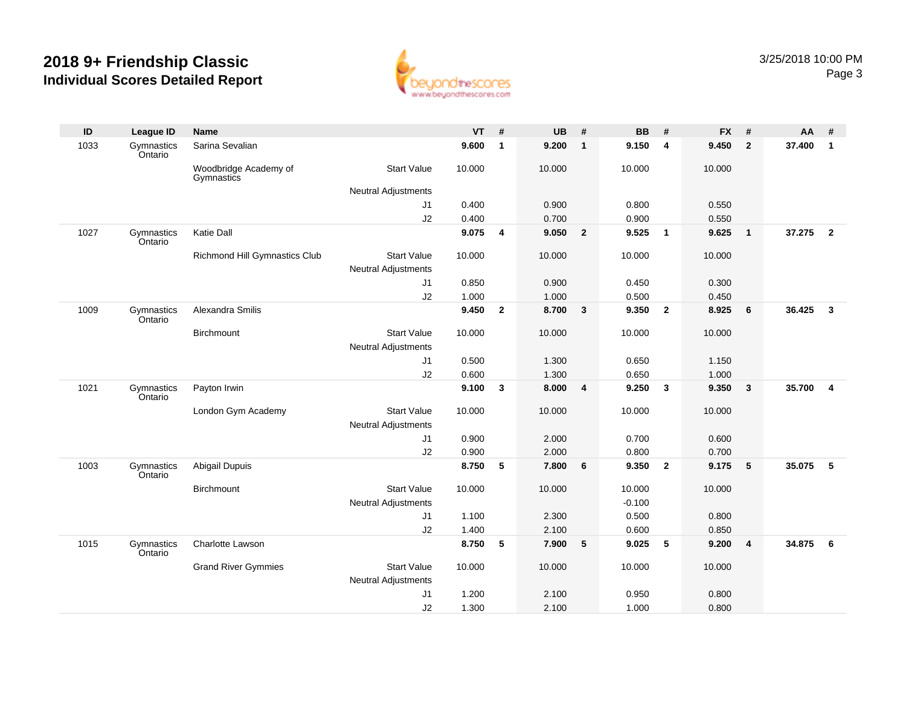

| ID   | <b>League ID</b>      | <b>Name</b>                         |                            | <b>VT</b> | #              | <b>UB</b> | #              | <b>BB</b> | #              | <b>FX</b> | #                       | AA     | #                       |
|------|-----------------------|-------------------------------------|----------------------------|-----------|----------------|-----------|----------------|-----------|----------------|-----------|-------------------------|--------|-------------------------|
| 1033 | Gymnastics<br>Ontario | Sarina Sevalian                     |                            | 9.600     | $\mathbf{1}$   | 9.200     | $\mathbf{1}$   | 9.150     | 4              | 9.450     | $\overline{2}$          | 37,400 | $\overline{1}$          |
|      |                       | Woodbridge Academy of<br>Gymnastics | <b>Start Value</b>         | 10.000    |                | 10.000    |                | 10.000    |                | 10.000    |                         |        |                         |
|      |                       |                                     | <b>Neutral Adjustments</b> |           |                |           |                |           |                |           |                         |        |                         |
|      |                       |                                     | J1                         | 0.400     |                | 0.900     |                | 0.800     |                | 0.550     |                         |        |                         |
|      |                       |                                     | J2                         | 0.400     |                | 0.700     |                | 0.900     |                | 0.550     |                         |        |                         |
| 1027 | Gymnastics<br>Ontario | Katie Dall                          |                            | 9.075     | $\overline{4}$ | 9.050     | $\overline{2}$ | 9.525     | $\mathbf{1}$   | 9.625     | $\overline{1}$          | 37.275 | $\overline{2}$          |
|      |                       | Richmond Hill Gymnastics Club       | <b>Start Value</b>         | 10.000    |                | 10.000    |                | 10.000    |                | 10.000    |                         |        |                         |
|      |                       |                                     | <b>Neutral Adjustments</b> |           |                |           |                |           |                |           |                         |        |                         |
|      |                       |                                     | J1                         | 0.850     |                | 0.900     |                | 0.450     |                | 0.300     |                         |        |                         |
|      |                       |                                     | J2                         | 1.000     |                | 1.000     |                | 0.500     |                | 0.450     |                         |        |                         |
| 1009 | Gymnastics<br>Ontario | Alexandra Smilis                    |                            | 9.450     | $\mathbf{2}$   | 8.700     | $\mathbf{3}$   | 9.350     | $\overline{2}$ | 8.925     | $6\phantom{1}6$         | 36.425 | $\overline{\mathbf{3}}$ |
|      |                       | Birchmount                          | <b>Start Value</b>         | 10.000    |                | 10.000    |                | 10.000    |                | 10.000    |                         |        |                         |
|      |                       |                                     | <b>Neutral Adjustments</b> |           |                |           |                |           |                |           |                         |        |                         |
|      |                       |                                     | J1                         | 0.500     |                | 1.300     |                | 0.650     |                | 1.150     |                         |        |                         |
|      |                       |                                     | J2                         | 0.600     |                | 1.300     |                | 0.650     |                | 1.000     |                         |        |                         |
| 1021 | Gymnastics<br>Ontario | Payton Irwin                        |                            | 9.100     | 3              | 8.000     | 4              | 9.250     | 3              | 9.350     | $\overline{\mathbf{3}}$ | 35.700 | $\overline{4}$          |
|      |                       | London Gym Academy                  | <b>Start Value</b>         | 10.000    |                | 10.000    |                | 10.000    |                | 10.000    |                         |        |                         |
|      |                       |                                     | <b>Neutral Adjustments</b> |           |                |           |                |           |                |           |                         |        |                         |
|      |                       |                                     | J <sub>1</sub>             | 0.900     |                | 2.000     |                | 0.700     |                | 0.600     |                         |        |                         |
|      |                       |                                     | J2                         | 0.900     |                | 2.000     |                | 0.800     |                | 0.700     |                         |        |                         |
| 1003 | Gymnastics<br>Ontario | Abigail Dupuis                      |                            | 8.750     | 5              | 7.800     | 6              | 9.350     | $\overline{2}$ | 9.175     | 5                       | 35.075 | - 5                     |
|      |                       | Birchmount                          | <b>Start Value</b>         | 10.000    |                | 10.000    |                | 10.000    |                | 10.000    |                         |        |                         |
|      |                       |                                     | <b>Neutral Adjustments</b> |           |                |           |                | $-0.100$  |                |           |                         |        |                         |
|      |                       |                                     | J <sub>1</sub>             | 1.100     |                | 2.300     |                | 0.500     |                | 0.800     |                         |        |                         |
|      |                       |                                     | J2                         | 1.400     |                | 2.100     |                | 0.600     |                | 0.850     |                         |        |                         |
| 1015 | Gymnastics<br>Ontario | <b>Charlotte Lawson</b>             |                            | 8.750     | 5              | 7.900     | 5              | 9.025     | 5              | 9.200     | $\overline{4}$          | 34.875 | 6                       |
|      |                       | <b>Grand River Gymmies</b>          | <b>Start Value</b>         | 10.000    |                | 10.000    |                | 10.000    |                | 10.000    |                         |        |                         |
|      |                       |                                     | <b>Neutral Adjustments</b> |           |                |           |                |           |                |           |                         |        |                         |
|      |                       |                                     | J1                         | 1.200     |                | 2.100     |                | 0.950     |                | 0.800     |                         |        |                         |
|      |                       |                                     | J2                         | 1.300     |                | 2.100     |                | 1.000     |                | 0.800     |                         |        |                         |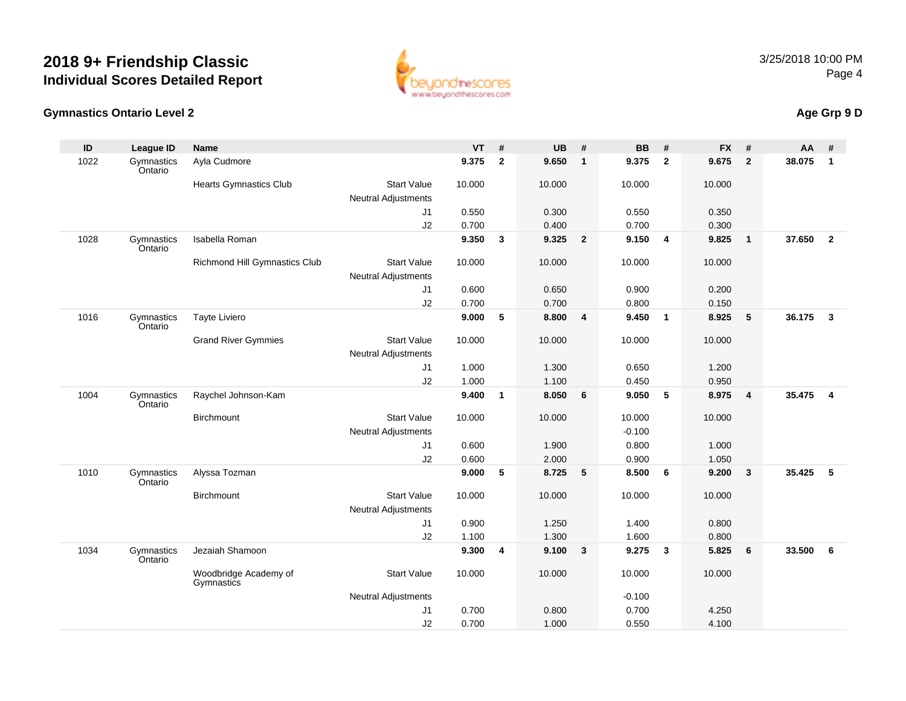

#### **Gymnastics Ontario Level 2**

### **Age Grp 9 D**

| ID   | <b>League ID</b>      | <b>Name</b>                         |                            | <b>VT</b> | #                       | <b>UB</b> | #               | <b>BB</b> | #               | <b>FX</b> | #                       | AA     | #              |
|------|-----------------------|-------------------------------------|----------------------------|-----------|-------------------------|-----------|-----------------|-----------|-----------------|-----------|-------------------------|--------|----------------|
| 1022 | Gymnastics<br>Ontario | Ayla Cudmore                        |                            | 9.375     | $\overline{\mathbf{2}}$ | 9.650     | $\mathbf{1}$    | 9.375     | $\overline{2}$  | 9.675     | $\overline{2}$          | 38.075 | $\mathbf{1}$   |
|      |                       | <b>Hearts Gymnastics Club</b>       | <b>Start Value</b>         | 10.000    |                         | 10.000    |                 | 10.000    |                 | 10.000    |                         |        |                |
|      |                       |                                     | <b>Neutral Adjustments</b> |           |                         |           |                 |           |                 |           |                         |        |                |
|      |                       |                                     | J1                         | 0.550     |                         | 0.300     |                 | 0.550     |                 | 0.350     |                         |        |                |
|      |                       |                                     | J2                         | 0.700     |                         | 0.400     |                 | 0.700     |                 | 0.300     |                         |        |                |
| 1028 | Gymnastics<br>Ontario | Isabella Roman                      |                            | 9.350     | $\mathbf{3}$            | 9.325     | $\overline{2}$  | 9.150     | $\overline{4}$  | 9.825     | $\overline{\mathbf{1}}$ | 37.650 | $\overline{2}$ |
|      |                       | Richmond Hill Gymnastics Club       | <b>Start Value</b>         | 10.000    |                         | 10.000    |                 | 10.000    |                 | 10.000    |                         |        |                |
|      |                       |                                     | <b>Neutral Adjustments</b> |           |                         |           |                 |           |                 |           |                         |        |                |
|      |                       |                                     | J1                         | 0.600     |                         | 0.650     |                 | 0.900     |                 | 0.200     |                         |        |                |
|      |                       |                                     | J2                         | 0.700     |                         | 0.700     |                 | 0.800     |                 | 0.150     |                         |        |                |
| 1016 | Gymnastics<br>Ontario | Tayte Liviero                       |                            | 9.000     | 5                       | 8.800     | 4               | 9.450     | $\overline{1}$  | 8.925     | $5\phantom{.0}$         | 36.175 | $\mathbf{3}$   |
|      |                       | <b>Grand River Gymmies</b>          | <b>Start Value</b>         | 10.000    |                         | 10.000    |                 | 10.000    |                 | 10.000    |                         |        |                |
|      |                       |                                     | <b>Neutral Adjustments</b> |           |                         |           |                 |           |                 |           |                         |        |                |
|      |                       |                                     | J1                         | 1.000     |                         | 1.300     |                 | 0.650     |                 | 1.200     |                         |        |                |
|      |                       |                                     | J2                         | 1.000     |                         | 1.100     |                 | 0.450     |                 | 0.950     |                         |        |                |
| 1004 | Gymnastics<br>Ontario | Raychel Johnson-Kam                 |                            | 9.400     | $\mathbf{1}$            | 8.050     | 6               | 9.050     | 5               | 8.975     | $\overline{4}$          | 35.475 | $\overline{4}$ |
|      |                       | Birchmount                          | <b>Start Value</b>         | 10.000    |                         | 10.000    |                 | 10.000    |                 | 10.000    |                         |        |                |
|      |                       |                                     | <b>Neutral Adjustments</b> |           |                         |           |                 | $-0.100$  |                 |           |                         |        |                |
|      |                       |                                     | J1                         | 0.600     |                         | 1.900     |                 | 0.800     |                 | 1.000     |                         |        |                |
|      |                       |                                     | J2                         | 0.600     |                         | 2.000     |                 | 0.900     |                 | 1.050     |                         |        |                |
| 1010 | Gymnastics<br>Ontario | Alyssa Tozman                       |                            | 9.000     | 5                       | 8.725     | $5\phantom{.0}$ | 8.500     | $6\phantom{1}6$ | 9.200     | $\mathbf{3}$            | 35.425 | 5              |
|      |                       | Birchmount                          | <b>Start Value</b>         | 10.000    |                         | 10.000    |                 | 10.000    |                 | 10.000    |                         |        |                |
|      |                       |                                     | <b>Neutral Adjustments</b> |           |                         |           |                 |           |                 |           |                         |        |                |
|      |                       |                                     | J1                         | 0.900     |                         | 1.250     |                 | 1.400     |                 | 0.800     |                         |        |                |
|      |                       |                                     | J2                         | 1.100     |                         | 1.300     |                 | 1.600     |                 | 0.800     |                         |        |                |
| 1034 | Gymnastics<br>Ontario | Jezaiah Shamoon                     |                            | 9.300     | 4                       | 9.100     | $\mathbf{3}$    | 9.275     | $\mathbf{3}$    | 5.825     | 6                       | 33.500 | 6              |
|      |                       | Woodbridge Academy of<br>Gymnastics | <b>Start Value</b>         | 10.000    |                         | 10.000    |                 | 10.000    |                 | 10.000    |                         |        |                |
|      |                       |                                     | <b>Neutral Adjustments</b> |           |                         |           |                 | $-0.100$  |                 |           |                         |        |                |
|      |                       |                                     | J1                         | 0.700     |                         | 0.800     |                 | 0.700     |                 | 4.250     |                         |        |                |
|      |                       |                                     | J2                         | 0.700     |                         | 1.000     |                 | 0.550     |                 | 4.100     |                         |        |                |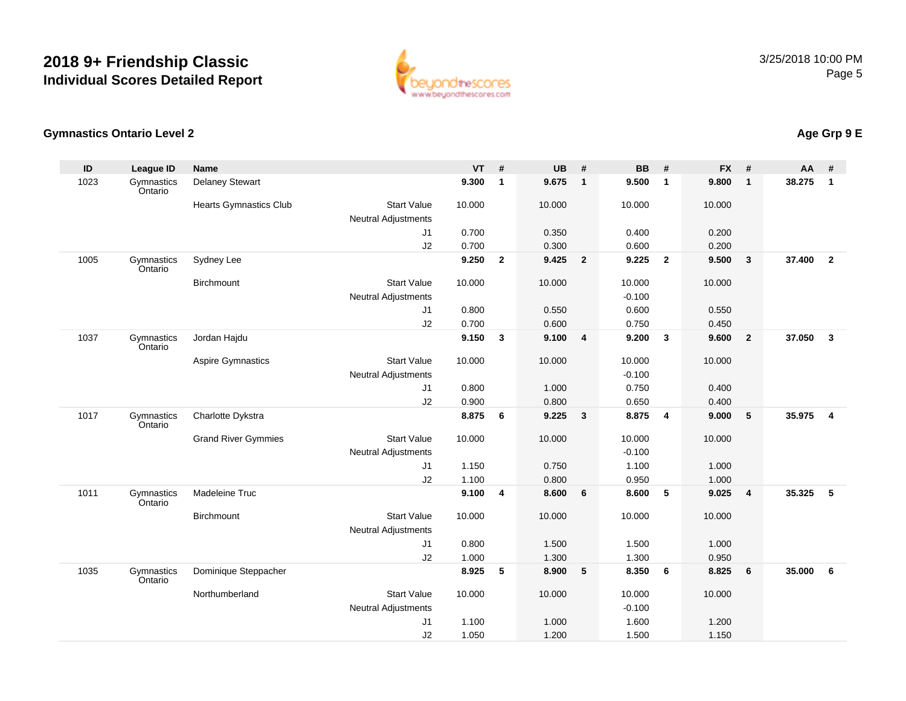

#### **Gymnastics Ontario Level 2**

| ID   | <b>League ID</b>      | <b>Name</b>                |                            | $VT$ # |                | <b>UB</b> | #                       | <b>BB</b> | #                       | <b>FX</b> | #              | <b>AA</b> | #                       |
|------|-----------------------|----------------------------|----------------------------|--------|----------------|-----------|-------------------------|-----------|-------------------------|-----------|----------------|-----------|-------------------------|
| 1023 | Gymnastics<br>Ontario | <b>Delaney Stewart</b>     |                            | 9.300  | $\mathbf{1}$   | 9.675     | $\mathbf{1}$            | 9.500     | $\overline{1}$          | 9.800     | $\mathbf{1}$   | 38.275    | $\mathbf{1}$            |
|      |                       | Hearts Gymnastics Club     | <b>Start Value</b>         | 10.000 |                | 10.000    |                         | 10.000    |                         | 10.000    |                |           |                         |
|      |                       |                            | <b>Neutral Adjustments</b> |        |                |           |                         |           |                         |           |                |           |                         |
|      |                       |                            | J1                         | 0.700  |                | 0.350     |                         | 0.400     |                         | 0.200     |                |           |                         |
|      |                       |                            | J2                         | 0.700  |                | 0.300     |                         | 0.600     |                         | 0.200     |                |           |                         |
| 1005 | Gymnastics<br>Ontario | Sydney Lee                 |                            | 9.250  | $\overline{2}$ | 9.425     | $\overline{\mathbf{2}}$ | 9.225     | $\overline{\mathbf{2}}$ | 9.500     | $\mathbf{3}$   | 37.400    | $\overline{\mathbf{2}}$ |
|      |                       | <b>Birchmount</b>          | <b>Start Value</b>         | 10.000 |                | 10.000    |                         | 10.000    |                         | 10.000    |                |           |                         |
|      |                       |                            | <b>Neutral Adjustments</b> |        |                |           |                         | $-0.100$  |                         |           |                |           |                         |
|      |                       |                            | J1                         | 0.800  |                | 0.550     |                         | 0.600     |                         | 0.550     |                |           |                         |
|      |                       |                            | J2                         | 0.700  |                | 0.600     |                         | 0.750     |                         | 0.450     |                |           |                         |
| 1037 | Gymnastics<br>Ontario | Jordan Hajdu               |                            | 9.150  | $\mathbf{3}$   | 9.100     | 4                       | 9.200     | $\mathbf{3}$            | 9.600     | $\overline{2}$ | 37.050    | $\mathbf{3}$            |
|      |                       | <b>Aspire Gymnastics</b>   | <b>Start Value</b>         | 10.000 |                | 10.000    |                         | 10.000    |                         | 10.000    |                |           |                         |
|      |                       |                            | <b>Neutral Adjustments</b> |        |                |           |                         | $-0.100$  |                         |           |                |           |                         |
|      |                       |                            | J1                         | 0.800  |                | 1.000     |                         | 0.750     |                         | 0.400     |                |           |                         |
|      |                       |                            | J2                         | 0.900  |                | 0.800     |                         | 0.650     |                         | 0.400     |                |           |                         |
| 1017 | Gymnastics<br>Ontario | Charlotte Dykstra          |                            | 8.875  | 6              | 9.225     | $\mathbf{3}$            | 8.875     | $\overline{\mathbf{4}}$ | 9.000     | 5              | 35.975    | $\overline{\mathbf{4}}$ |
|      |                       | <b>Grand River Gymmies</b> | <b>Start Value</b>         | 10.000 |                | 10.000    |                         | 10.000    |                         | 10.000    |                |           |                         |
|      |                       |                            | <b>Neutral Adjustments</b> |        |                |           |                         | $-0.100$  |                         |           |                |           |                         |
|      |                       |                            | J1                         | 1.150  |                | 0.750     |                         | 1.100     |                         | 1.000     |                |           |                         |
|      |                       |                            | J2                         | 1.100  |                | 0.800     |                         | 0.950     |                         | 1.000     |                |           |                         |
| 1011 | Gymnastics<br>Ontario | Madeleine Truc             |                            | 9.100  | 4              | 8.600     | 6                       | 8.600     | $-5$                    | 9.025     | $\overline{4}$ | 35.325    | 5                       |
|      |                       | Birchmount                 | <b>Start Value</b>         | 10.000 |                | 10.000    |                         | 10.000    |                         | 10.000    |                |           |                         |
|      |                       |                            | <b>Neutral Adjustments</b> |        |                |           |                         |           |                         |           |                |           |                         |
|      |                       |                            | J1                         | 0.800  |                | 1.500     |                         | 1.500     |                         | 1.000     |                |           |                         |
|      |                       |                            | J2                         | 1.000  |                | 1.300     |                         | 1.300     |                         | 0.950     |                |           |                         |
| 1035 | Gymnastics<br>Ontario | Dominique Steppacher       |                            | 8.925  | 5              | 8.900     | 5                       | 8.350     | 6                       | 8.825     | 6              | 35.000    | 6                       |
|      |                       | Northumberland             | <b>Start Value</b>         | 10.000 |                | 10.000    |                         | 10.000    |                         | 10.000    |                |           |                         |
|      |                       |                            | <b>Neutral Adjustments</b> |        |                |           |                         | $-0.100$  |                         |           |                |           |                         |
|      |                       |                            | J1                         | 1.100  |                | 1.000     |                         | 1.600     |                         | 1.200     |                |           |                         |
|      |                       |                            | J2                         | 1.050  |                | 1.200     |                         | 1.500     |                         | 1.150     |                |           |                         |

### **Age Grp 9 E**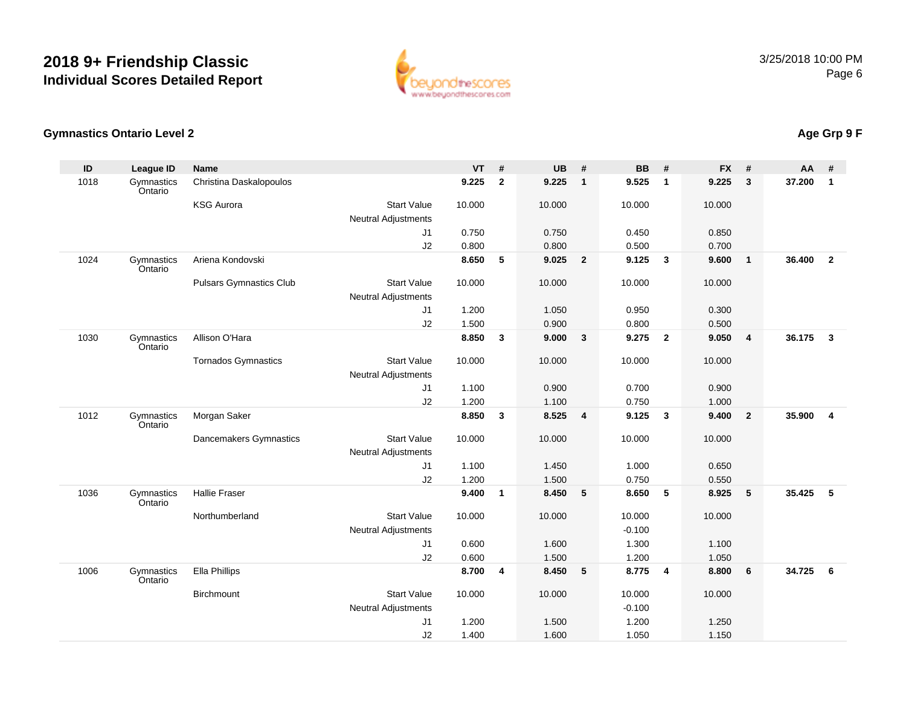

#### **Gymnastics Ontario Level 2**

| ID   | League ID             | <b>Name</b>                    |                            | <b>VT</b> | #            | <b>UB</b> | #                       | <b>BB</b> | #                       | <b>FX</b> | #              | <b>AA</b> | #                       |
|------|-----------------------|--------------------------------|----------------------------|-----------|--------------|-----------|-------------------------|-----------|-------------------------|-----------|----------------|-----------|-------------------------|
| 1018 | Gymnastics<br>Ontario | Christina Daskalopoulos        |                            | 9.225     | $\mathbf{2}$ | 9.225     | $\overline{1}$          | 9.525     | $\overline{1}$          | 9.225     | $\mathbf{3}$   | 37.200    | $\mathbf{1}$            |
|      |                       | <b>KSG Aurora</b>              | <b>Start Value</b>         | 10.000    |              | 10.000    |                         | 10.000    |                         | 10.000    |                |           |                         |
|      |                       |                                | <b>Neutral Adjustments</b> |           |              |           |                         |           |                         |           |                |           |                         |
|      |                       |                                | J1                         | 0.750     |              | 0.750     |                         | 0.450     |                         | 0.850     |                |           |                         |
|      |                       |                                | J2                         | 0.800     |              | 0.800     |                         | 0.500     |                         | 0.700     |                |           |                         |
| 1024 | Gymnastics<br>Ontario | Ariena Kondovski               |                            | 8.650     | 5            | 9.025     | $\overline{\mathbf{2}}$ | 9.125     | $\mathbf{3}$            | 9.600     | $\overline{1}$ | 36.400    | $\overline{2}$          |
|      |                       | <b>Pulsars Gymnastics Club</b> | <b>Start Value</b>         | 10.000    |              | 10.000    |                         | 10.000    |                         | 10.000    |                |           |                         |
|      |                       |                                | <b>Neutral Adjustments</b> |           |              |           |                         |           |                         |           |                |           |                         |
|      |                       |                                | J1                         | 1.200     |              | 1.050     |                         | 0.950     |                         | 0.300     |                |           |                         |
|      |                       |                                | J2                         | 1.500     |              | 0.900     |                         | 0.800     |                         | 0.500     |                |           |                         |
| 1030 | Gymnastics<br>Ontario | Allison O'Hara                 |                            | 8.850     | 3            | 9.000     | $\mathbf{3}$            | 9.275     | $\overline{\mathbf{2}}$ | 9.050     | $\overline{4}$ | 36.175    | $\mathbf{3}$            |
|      |                       | <b>Tornados Gymnastics</b>     | <b>Start Value</b>         | 10.000    |              | 10.000    |                         | 10.000    |                         | 10.000    |                |           |                         |
|      |                       |                                | <b>Neutral Adjustments</b> |           |              |           |                         |           |                         |           |                |           |                         |
|      |                       |                                | J1                         | 1.100     |              | 0.900     |                         | 0.700     |                         | 0.900     |                |           |                         |
|      |                       |                                | J2                         | 1.200     |              | 1.100     |                         | 0.750     |                         | 1.000     |                |           |                         |
| 1012 | Gymnastics<br>Ontario | Morgan Saker                   |                            | 8.850     | 3            | 8.525     | $\overline{\mathbf{4}}$ | 9.125     | $\overline{\mathbf{3}}$ | 9.400     | $\overline{2}$ | 35.900    | $\overline{\mathbf{4}}$ |
|      |                       | Dancemakers Gymnastics         | <b>Start Value</b>         | 10.000    |              | 10.000    |                         | 10.000    |                         | 10.000    |                |           |                         |
|      |                       |                                | <b>Neutral Adjustments</b> |           |              |           |                         |           |                         |           |                |           |                         |
|      |                       |                                | J1                         | 1.100     |              | 1.450     |                         | 1.000     |                         | 0.650     |                |           |                         |
|      |                       |                                | J2                         | 1.200     |              | 1.500     |                         | 0.750     |                         | 0.550     |                |           |                         |
| 1036 | Gymnastics<br>Ontario | <b>Hallie Fraser</b>           |                            | 9.400     | $\mathbf{1}$ | 8.450     | $5\phantom{.0}$         | 8.650     | $5\phantom{1}$          | 8.925     | 5              | 35.425    | 5                       |
|      |                       | Northumberland                 | <b>Start Value</b>         | 10.000    |              | 10.000    |                         | 10.000    |                         | 10.000    |                |           |                         |
|      |                       |                                | <b>Neutral Adjustments</b> |           |              |           |                         | $-0.100$  |                         |           |                |           |                         |
|      |                       |                                | J1                         | 0.600     |              | 1.600     |                         | 1.300     |                         | 1.100     |                |           |                         |
|      |                       |                                | J2                         | 0.600     |              | 1.500     |                         | 1.200     |                         | 1.050     |                |           |                         |
| 1006 | Gymnastics<br>Ontario | Ella Phillips                  |                            | 8.700     | 4            | 8.450     | $5\phantom{.0}$         | 8.775     | $\overline{4}$          | 8.800     | 6              | 34.725    | 6                       |
|      |                       | Birchmount                     | <b>Start Value</b>         | 10.000    |              | 10.000    |                         | 10.000    |                         | 10.000    |                |           |                         |
|      |                       |                                | <b>Neutral Adjustments</b> |           |              |           |                         | $-0.100$  |                         |           |                |           |                         |
|      |                       |                                | J <sub>1</sub>             | 1.200     |              | 1.500     |                         | 1.200     |                         | 1.250     |                |           |                         |
|      |                       |                                | J2                         | 1.400     |              | 1.600     |                         | 1.050     |                         | 1.150     |                |           |                         |

## **Age Grp 9 F**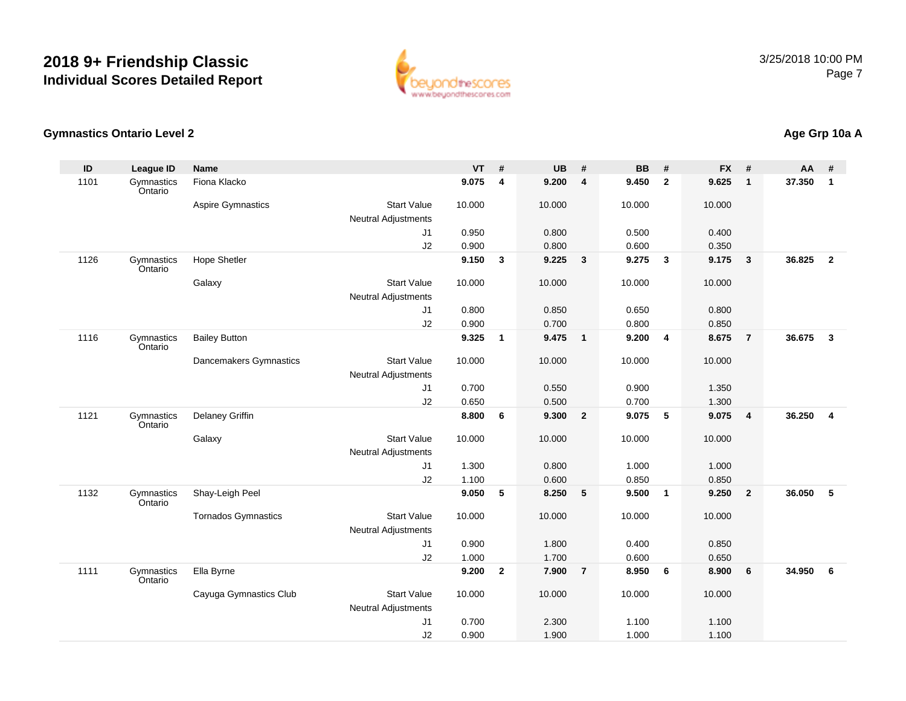

#### **Gymnastics Ontario Level 2**

| ID   | League ID             | <b>Name</b>                |                            | $VT$ #         |                | <b>UB</b>      | #               | <b>BB</b>      | #                       | <b>FX</b>      | #              | AA     | #                       |
|------|-----------------------|----------------------------|----------------------------|----------------|----------------|----------------|-----------------|----------------|-------------------------|----------------|----------------|--------|-------------------------|
| 1101 | Gymnastics<br>Ontario | Fiona Klacko               |                            | 9.075          | $\overline{4}$ | 9.200          | 4               | 9.450          | $\overline{\mathbf{2}}$ | 9.625          | $\mathbf{1}$   | 37.350 | $\mathbf{1}$            |
|      |                       | <b>Aspire Gymnastics</b>   | <b>Start Value</b>         | 10.000         |                | 10.000         |                 | 10.000         |                         | 10.000         |                |        |                         |
|      |                       |                            | <b>Neutral Adjustments</b> |                |                |                |                 |                |                         |                |                |        |                         |
|      |                       |                            | J1                         | 0.950          |                | 0.800          |                 | 0.500          |                         | 0.400          |                |        |                         |
|      |                       |                            | J2                         | 0.900          |                | 0.800          |                 | 0.600          |                         | 0.350          |                |        |                         |
| 1126 | Gymnastics<br>Ontario | <b>Hope Shetler</b>        |                            | 9.150          | 3              | 9.225          | $\mathbf{3}$    | 9.275          | $\mathbf{3}$            | 9.175          | $\mathbf{3}$   | 36.825 | $\overline{2}$          |
|      |                       | Galaxy                     | <b>Start Value</b>         | 10.000         |                | 10.000         |                 | 10.000         |                         | 10.000         |                |        |                         |
|      |                       |                            | <b>Neutral Adjustments</b> |                |                |                |                 |                |                         |                |                |        |                         |
|      |                       |                            | J1                         | 0.800          |                | 0.850          |                 | 0.650          |                         | 0.800          |                |        |                         |
| 1116 | Gymnastics            |                            | J2                         | 0.900<br>9.325 |                | 0.700<br>9.475 | $\blacksquare$  | 0.800<br>9.200 |                         | 0.850<br>8.675 | $\overline{7}$ | 36.675 | $\mathbf{3}$            |
|      | Ontario               | <b>Bailey Button</b>       |                            |                | $\mathbf{1}$   |                |                 |                | 4                       |                |                |        |                         |
|      |                       | Dancemakers Gymnastics     | <b>Start Value</b>         | 10.000         |                | 10.000         |                 | 10.000         |                         | 10.000         |                |        |                         |
|      |                       |                            | <b>Neutral Adjustments</b> |                |                |                |                 |                |                         |                |                |        |                         |
|      |                       |                            | J1                         | 0.700          |                | 0.550          |                 | 0.900          |                         | 1.350          |                |        |                         |
|      |                       |                            | J2                         | 0.650          |                | 0.500          |                 | 0.700          |                         | 1.300          |                |        |                         |
| 1121 | Gymnastics<br>Ontario | Delaney Griffin            |                            | 8.800          | 6              | 9.300          | $\overline{2}$  | 9.075          | $\sqrt{5}$              | 9.075          | $\overline{4}$ | 36.250 | $\overline{\mathbf{4}}$ |
|      |                       | Galaxy                     | <b>Start Value</b>         | 10.000         |                | 10.000         |                 | 10.000         |                         | 10.000         |                |        |                         |
|      |                       |                            | <b>Neutral Adjustments</b> |                |                |                |                 |                |                         |                |                |        |                         |
|      |                       |                            | J1                         | 1.300          |                | 0.800          |                 | 1.000          |                         | 1.000          |                |        |                         |
|      |                       |                            | J2                         | 1.100          |                | 0.600          |                 | 0.850          |                         | 0.850          |                |        |                         |
| 1132 | Gymnastics<br>Ontario | Shay-Leigh Peel            |                            | 9.050          | 5              | 8.250          | $5\phantom{.0}$ | 9.500          | $\overline{\mathbf{1}}$ | 9.250          | $\overline{2}$ | 36.050 | 5                       |
|      |                       | <b>Tornados Gymnastics</b> | <b>Start Value</b>         | 10.000         |                | 10.000         |                 | 10.000         |                         | 10.000         |                |        |                         |
|      |                       |                            | <b>Neutral Adjustments</b> |                |                |                |                 |                |                         |                |                |        |                         |
|      |                       |                            | J1                         | 0.900          |                | 1.800          |                 | 0.400          |                         | 0.850          |                |        |                         |
|      |                       |                            | J2                         | 1.000          |                | 1.700          |                 | 0.600          |                         | 0.650          |                |        |                         |
| 1111 | Gymnastics<br>Ontario | Ella Byrne                 |                            | 9.200          | $\overline{2}$ | 7.900          | $\overline{7}$  | 8.950          | 6                       | 8.900          | 6              | 34.950 | 6                       |
|      |                       | Cayuga Gymnastics Club     | <b>Start Value</b>         | 10.000         |                | 10.000         |                 | 10.000         |                         | 10.000         |                |        |                         |
|      |                       |                            | <b>Neutral Adjustments</b> |                |                |                |                 |                |                         |                |                |        |                         |
|      |                       |                            | J1                         | 0.700          |                | 2.300          |                 | 1.100          |                         | 1.100          |                |        |                         |
|      |                       |                            | J2                         | 0.900          |                | 1.900          |                 | 1.000          |                         | 1.100          |                |        |                         |

## **Age Grp 10a A**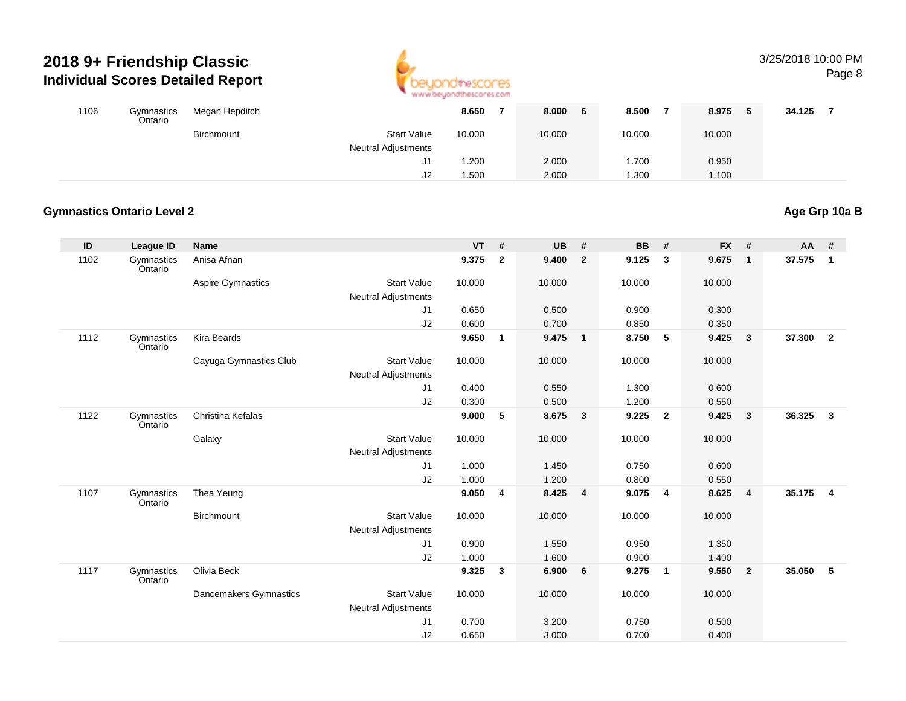

#### 3/25/2018 10:00 PMPage 8

| 1106 | Gymnastics<br>Ontario | Megan Hepditch |                                                  | 8.650  | 8.000  | 8.500  | 8.975  | J | 34.125 |  |
|------|-----------------------|----------------|--------------------------------------------------|--------|--------|--------|--------|---|--------|--|
|      |                       | Birchmount     | <b>Start Value</b><br><b>Neutral Adjustments</b> | 10.000 | 10.000 | 10.000 | 10.000 |   |        |  |
|      |                       |                | J1                                               | .200   | 2.000  | 1.700  | 0.950  |   |        |  |
|      |                       |                | J2                                               | . 500  | 2.000  | 1.300  | 1.100  |   |        |  |

#### **Gymnastics Ontario Level 2**

#### **ID League ID Name VT # UB # BB # FX # AA #** 1102**Gymnastics** OntarioAnisa Afnan **9.375 <sup>2</sup> 9.400 <sup>2</sup> 9.125 <sup>3</sup> 9.675 <sup>1</sup> 37.575 <sup>1</sup>** Aspire Gymnastics Start Valuee 10.000 10.000 10.000 10.000 Neutral AdjustmentsJ1 0.650 0.500 0.900 0.300 J2 0.600 0.700 0.850 0.350 1112 Gymnastics OntarioKira Beards**9.650 <sup>1</sup> 9.475 <sup>1</sup> 8.750 <sup>5</sup> 9.425 <sup>3</sup> 37.300 <sup>2</sup>** Cayuga Gymnastics Club Start Value 10.000 10.000 10.000 10.000 Neutral Adjustments J1 0.400 0.550 1.300 0.600 J2 0.300 0.500 1.200 0.550 1122**Gymnastics** OntarioChristina Kefalas **9.000 <sup>5</sup> 8.675 <sup>3</sup> 9.225 <sup>2</sup> 9.425 <sup>3</sup> 36.325 <sup>3</sup> Galaxy**  Start Valuee 10.000 10.000 10.000 10.000 Neutral Adjustments J1 1.000 1.450 0.750 0.600 J2 1.000 1.200 0.800 0.550 1107**Gymnastics** OntarioThea Yeung **9.050 <sup>4</sup> 8.425 <sup>4</sup> 9.075 <sup>4</sup> 8.625 <sup>4</sup> 35.175 <sup>4</sup> Birchmount**  Start Valuee 10.000 10.000 10.000 10.000 Neutral Adjustments J1 0.900 1.550 0.950 1.350 J2 1.000 1.600 0.900 1.400 1117 Gymnastics OntarioOlivia Beck **9.325 <sup>3</sup> 6.900 <sup>6</sup> 9.275 <sup>1</sup> 9.550 <sup>2</sup> 35.050 <sup>5</sup>** Dancemakers Gymnastics Start Valuee 10.000 10.000 10.000 10.000 Neutral Adjustments J1 0.700 3.200 0.750 0.500 J20.650 3.000 0.700 0.400

**Age Grp 10a B**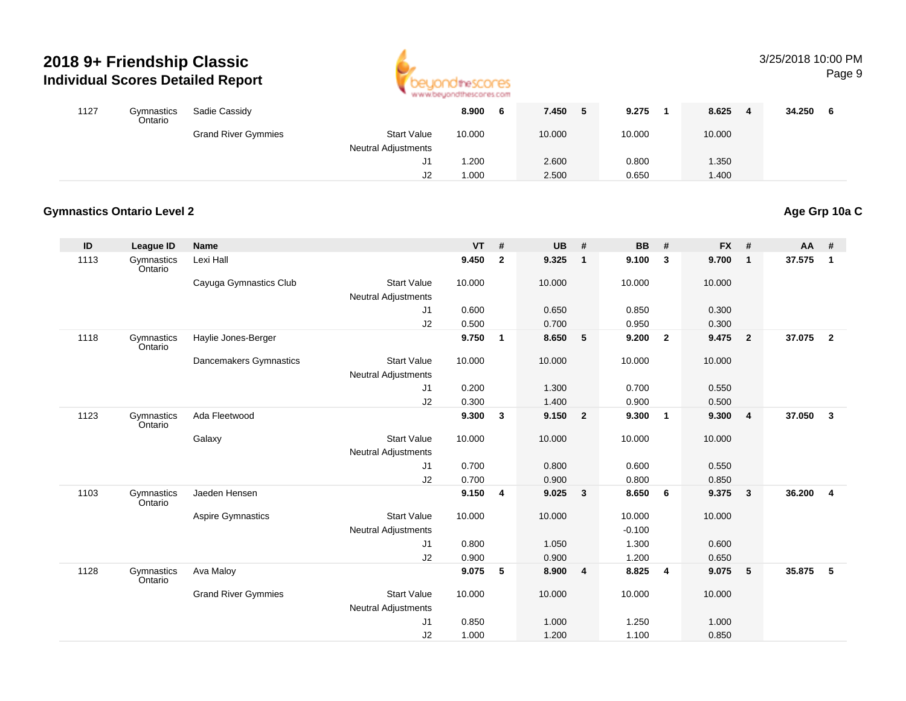

#### 3/25/2018 10:00 PMPage 9

| 1127 | Gymnastics<br>Ontario | Sadie Cassidy              |                                                  | 8.900<br>O | 7.450  | 9.275  | 8.625<br>4 | 34.250 |
|------|-----------------------|----------------------------|--------------------------------------------------|------------|--------|--------|------------|--------|
|      |                       | <b>Grand River Gymmies</b> | <b>Start Value</b><br><b>Neutral Adjustments</b> | 10.000     | 10.000 | 10.000 | 10.000     |        |
|      |                       |                            | J1                                               | 1.200      | 2.600  | 0.800  | 1.350      |        |
|      |                       |                            | J2                                               | 1.000      | 2.500  | 0.650  | 1.400      |        |

#### **Gymnastics Ontario Level 2**

#### **ID League ID Name VT # UB # BB # FX # AA #** 1113**Gymnastics** OntarioLexi Hall **9.450 <sup>2</sup> 9.325 <sup>1</sup> 9.100 <sup>3</sup> 9.700 <sup>1</sup> 37.575 <sup>1</sup>** Cayuga Gymnastics Club Start Value 10.000 10.000 10.000 10.000 Neutral AdjustmentsJ1 0.600 0.650 0.850 0.300 J2 0.500 0.700 0.950 0.300 1118 Gymnastics OntarioHaylie Jones-Berger **9.750 <sup>1</sup> 8.650 <sup>5</sup> 9.200 <sup>2</sup> 9.475 <sup>2</sup> 37.075 <sup>2</sup>** Dancemakers Gymnastics Start Valuee 10.000 10.000 10.000 10.000 Neutral Adjustments J1 0.200 1.300 0.700 0.550 J2 0.300 1.400 0.900 0.500 1123**Gymnastics** OntarioAda Fleetwood **9.300 <sup>3</sup> 9.150 <sup>2</sup> 9.300 <sup>1</sup> 9.300 <sup>4</sup> 37.050 <sup>3</sup> Galaxy**  Start Valuee 10.000 10.000 10.000 10.000 Neutral Adjustments J1 0.700 0.800 0.600 0.550 J2 0.700 0.900 0.800 0.850 1103**Gymnastics** OntarioJaeden Hensen **9.150 <sup>4</sup> 9.025 <sup>3</sup> 8.650 <sup>6</sup> 9.375 <sup>3</sup> 36.200 <sup>4</sup>** Aspire Gymnastics Start Valuee 10.000 10.000 10.000 10.000 Neutral Adjustments $\sim$  -0.100 1.300 J1 0.800 1.050 1.300 0.600 J2 0.900 0.900 1.200 0.650 1128 Gymnastics OntarioAva Maloy **9.075 <sup>5</sup> 8.900 <sup>4</sup> 8.825 <sup>4</sup> 9.075 <sup>5</sup> 35.875 <sup>5</sup>** Grand River Gymmies Start Valuee 10.000 10.000 10.000 10.000 Neutral Adjustments J1 0.850 1.000 1.250 1.000 J21.000 1.200 1.100 0.850

**Age Grp 10a C**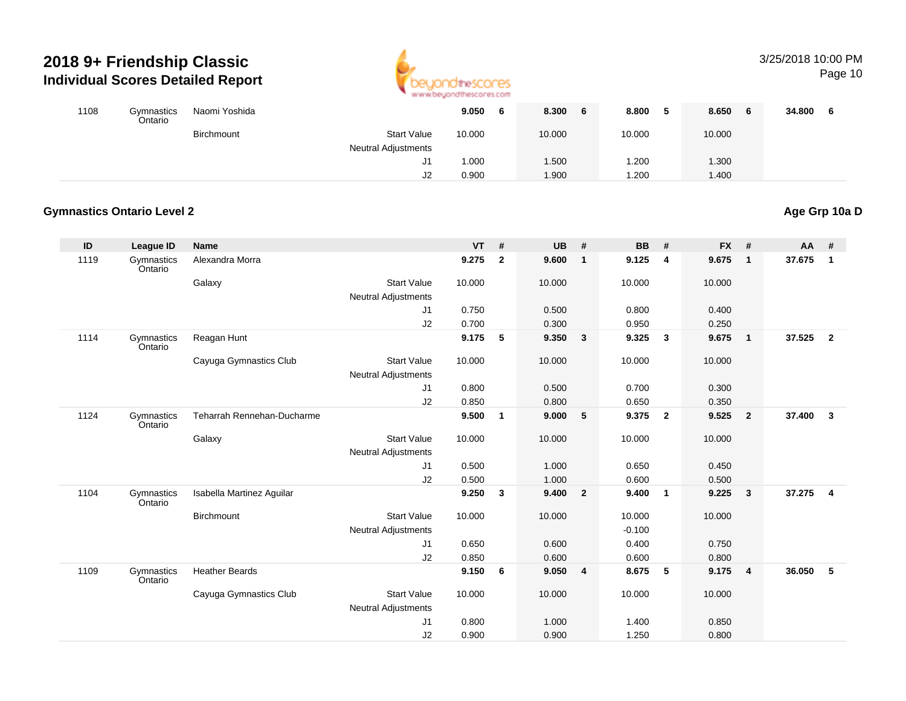

#### 3/25/2018 10:00 PM

Page 10

| 1108 | Gymnastics<br>Ontario | Naomi Yoshida |                                                  | 9.050  | O | 8.300<br>6 | 8.800  | 8.650<br>-6 | 34.800 |
|------|-----------------------|---------------|--------------------------------------------------|--------|---|------------|--------|-------------|--------|
|      |                       | Birchmount    | <b>Start Value</b><br><b>Neutral Adjustments</b> | 10.000 |   | 10.000     | 10.000 | 10.000      |        |
|      |                       |               | $\mathsf{I}$<br>ا ب                              | 1.000  |   | .500       | .200   | 1.300       |        |
|      |                       |               | J2                                               | 0.900  |   | 1.900      | .200   | 1.400       |        |

#### **Gymnastics Ontario Level 2**

#### **ID League ID Name VT # UB # BB # FX # AA #** 1119**Gymnastics** OntarioAlexandra Morra **9.275 <sup>2</sup> 9.600 <sup>1</sup> 9.125 <sup>4</sup> 9.675 <sup>1</sup> 37.675 <sup>1</sup>** Galaxy Start Valuee 10.000 10.000 10.000 10.000 Neutral AdjustmentsJ1 0.750 0.500 0.800 0.400 J2 0.700 0.300 0.950 0.250 1114 Gymnastics OntarioReagan Hunt **9.175 <sup>5</sup> 9.350 <sup>3</sup> 9.325 <sup>3</sup> 9.675 <sup>1</sup> 37.525 <sup>2</sup>** Cayuga Gymnastics Club Start Value 10.000 10.000 10.000 10.000 Neutral Adjustments J1 0.800 0.500 0.700 0.300 J2 0.850 0.800 0.650 0.350 1124**Gymnastics** OntarioTeharrah Rennehan-Ducharme **9.500 <sup>1</sup> 9.000 <sup>5</sup> 9.375 <sup>2</sup> 9.525 <sup>2</sup> 37.400 <sup>3</sup> Galaxy**  Start Valuee 10.000 10.000 10.000 10.000 Neutral Adjustments J1 0.500 1.000 0.650 0.450 J2 0.500 1.000 0.600 0.500 1104**Gymnastics** OntarioIsabella Martinez Aguilar **9.250 <sup>3</sup> 9.400 <sup>2</sup> 9.400 <sup>1</sup> 9.225 <sup>3</sup> 37.275 <sup>4</sup> Birchmount**  Start Valuee 10.000 10.000 10.000 10.000 Neutral Adjustments $\sim$  -0.100 0.400 J1 0.650 0.600 0.400 0.750 J2 0.850 0.600 0.600 0.800 1109 Gymnastics OntarioHeather Beards**9.150 <sup>6</sup> 9.050 <sup>4</sup> 8.675 <sup>5</sup> 9.175 <sup>4</sup> 36.050 <sup>5</sup>** Cayuga Gymnastics Club Start Value 10.000 10.000 10.000 10.000 Neutral Adjustments J1 0.800 1.000 1.400 0.850 J20.900 0.900 1.250 0.800

**Age Grp 10a D**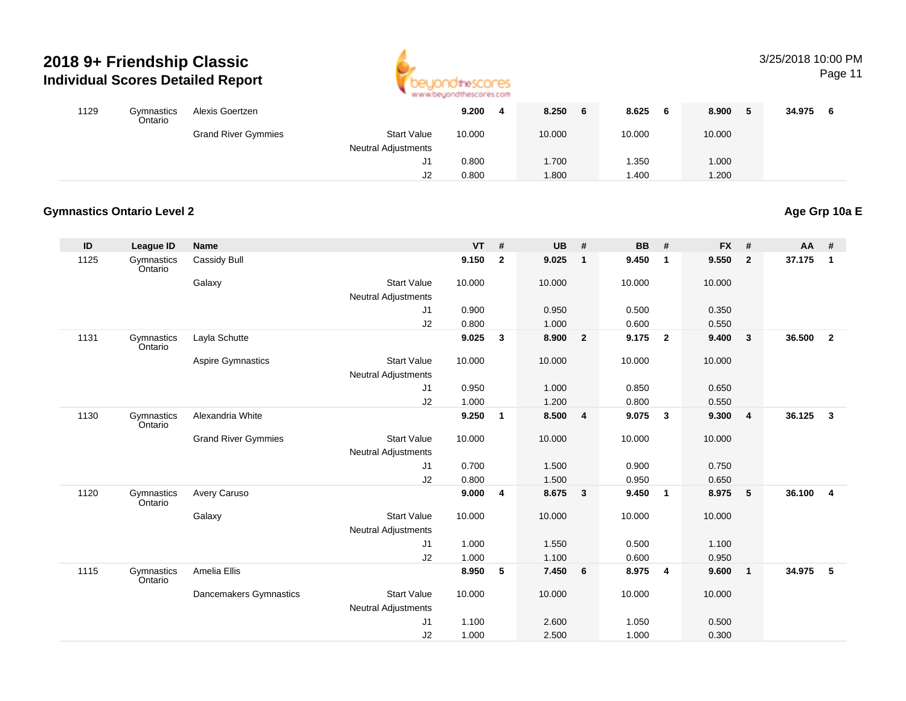

#### 3/25/2018 10:00 PM

Page 11

| 1129 | Gymnastics<br>Ontario | Alexis Goertzen            |                                                  | 9.200<br>4 | 8.250<br>6 | 8.625<br>6  | 8.900  | 34.975 |
|------|-----------------------|----------------------------|--------------------------------------------------|------------|------------|-------------|--------|--------|
|      |                       | <b>Grand River Gymmies</b> | <b>Start Value</b><br><b>Neutral Adjustments</b> | 10.000     | 10.000     | 10.000      | 10.000 |        |
|      |                       |                            | ا آب                                             | 0.800      | 1.700      | .350        | 1.000  |        |
|      |                       |                            | J2                                               | 0.800      | 1.800      | <b>.400</b> | 1.200  |        |

#### **Gymnastics Ontario Level 2Age Grp 10a E**

| ID   | <b>League ID</b>      | <b>Name</b>                |                                                  | <b>VT</b> | #              | <b>UB</b> | #              | <b>BB</b> | #                       | <b>FX</b> | #                       | AA     | #                       |
|------|-----------------------|----------------------------|--------------------------------------------------|-----------|----------------|-----------|----------------|-----------|-------------------------|-----------|-------------------------|--------|-------------------------|
| 1125 | Gymnastics<br>Ontario | Cassidy Bull               |                                                  | 9.150     | $\overline{2}$ | 9.025     | $\mathbf{1}$   | 9.450     | $\overline{1}$          | 9.550     | $\overline{2}$          | 37.175 | $\overline{1}$          |
|      |                       | Galaxy                     | <b>Start Value</b>                               | 10.000    |                | 10.000    |                | 10.000    |                         | 10.000    |                         |        |                         |
|      |                       |                            | <b>Neutral Adjustments</b>                       |           |                |           |                |           |                         |           |                         |        |                         |
|      |                       |                            | J1                                               | 0.900     |                | 0.950     |                | 0.500     |                         | 0.350     |                         |        |                         |
|      |                       |                            | J2                                               | 0.800     |                | 1.000     |                | 0.600     |                         | 0.550     |                         |        |                         |
| 1131 | Gymnastics<br>Ontario | Layla Schutte              |                                                  | 9.025     | $\mathbf{3}$   | 8.900     | $\overline{2}$ | 9.175     | $\overline{\mathbf{2}}$ | 9.400     | $\overline{\mathbf{3}}$ | 36.500 | $\overline{2}$          |
|      |                       | <b>Aspire Gymnastics</b>   | <b>Start Value</b><br><b>Neutral Adjustments</b> | 10.000    |                | 10.000    |                | 10.000    |                         | 10.000    |                         |        |                         |
|      |                       |                            | J1                                               | 0.950     |                | 1.000     |                | 0.850     |                         | 0.650     |                         |        |                         |
|      |                       |                            | J2                                               | 1.000     |                | 1.200     |                | 0.800     |                         | 0.550     |                         |        |                         |
| 1130 | Gymnastics<br>Ontario | Alexandria White           |                                                  | 9.250     | $\mathbf{1}$   | 8.500     | 4              | 9.075     | $\mathbf{3}$            | 9.300     | $\overline{4}$          | 36.125 | $\overline{\mathbf{3}}$ |
|      |                       | <b>Grand River Gymmies</b> | <b>Start Value</b>                               | 10.000    |                | 10.000    |                | 10.000    |                         | 10.000    |                         |        |                         |
|      |                       |                            | <b>Neutral Adjustments</b>                       |           |                |           |                |           |                         |           |                         |        |                         |
|      |                       |                            | J1                                               | 0.700     |                | 1.500     |                | 0.900     |                         | 0.750     |                         |        |                         |
|      |                       |                            | J2                                               | 0.800     |                | 1.500     |                | 0.950     |                         | 0.650     |                         |        |                         |
| 1120 | Gymnastics<br>Ontario | Avery Caruso               |                                                  | 9.000     | 4              | 8.675     | $\mathbf{3}$   | 9.450     | $\overline{\mathbf{1}}$ | 8.975     | $-5$                    | 36.100 | $\overline{4}$          |
|      |                       | Galaxy                     | <b>Start Value</b>                               | 10.000    |                | 10.000    |                | 10.000    |                         | 10.000    |                         |        |                         |
|      |                       |                            | <b>Neutral Adjustments</b>                       |           |                |           |                |           |                         |           |                         |        |                         |
|      |                       |                            | J <sub>1</sub>                                   | 1.000     |                | 1.550     |                | 0.500     |                         | 1.100     |                         |        |                         |
|      |                       |                            | J2                                               | 1.000     |                | 1.100     |                | 0.600     |                         | 0.950     |                         |        |                         |
| 1115 | Gymnastics<br>Ontario | Amelia Ellis               |                                                  | 8.950     | 5              | 7.450     | 6              | 8.975     | $\overline{4}$          | 9.600     | $\overline{1}$          | 34.975 | $-5$                    |
|      |                       | Dancemakers Gymnastics     | <b>Start Value</b>                               | 10.000    |                | 10.000    |                | 10.000    |                         | 10.000    |                         |        |                         |
|      |                       |                            | <b>Neutral Adjustments</b>                       |           |                |           |                |           |                         |           |                         |        |                         |
|      |                       |                            | J1                                               | 1.100     |                | 2.600     |                | 1.050     |                         | 0.500     |                         |        |                         |
|      |                       |                            | J2                                               | 1.000     |                | 2.500     |                | 1.000     |                         | 0.300     |                         |        |                         |
|      |                       |                            |                                                  |           |                |           |                |           |                         |           |                         |        |                         |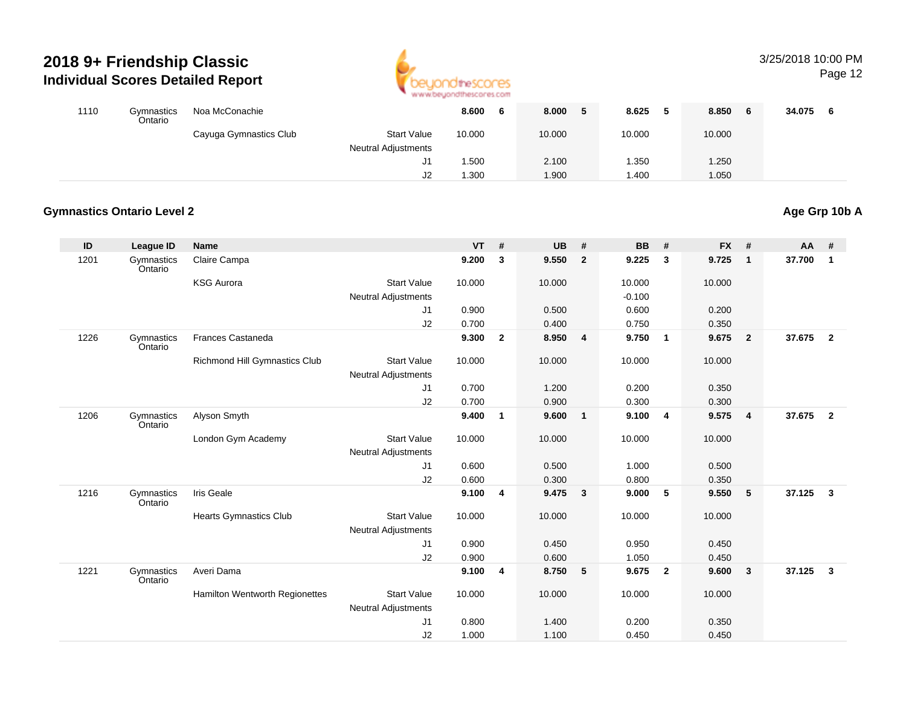

# 3/25/2018 10:00 PM

Page 12

| 1110 | Gymnastics<br>Ontario | Noa McConachie         |                            | 8.600<br>Ð | 8.000<br>Ð. | 8.625       | 8.850<br>- 6 | 34.075 |
|------|-----------------------|------------------------|----------------------------|------------|-------------|-------------|--------------|--------|
|      |                       | Cayuga Gymnastics Club | <b>Start Value</b>         | 10.000     | 10.000      | 10.000      | 10.000       |        |
|      |                       |                        | <b>Neutral Adjustments</b> |            |             |             |              |        |
|      |                       |                        | J1                         | .500       | 2.100       | .350        | 1.250        |        |
|      |                       |                        | J2                         | .300       | 1.900       | <b>.400</b> | 1.050        |        |

#### **Gymnastics Ontario Level 2Age Grp 10b A**

| ID   | League ID             | <b>Name</b>                           |                                                  | $VT$ # |                | <b>UB</b> | #                       | <b>BB</b> | #              | <b>FX</b> | #                       | AA     | #                       |
|------|-----------------------|---------------------------------------|--------------------------------------------------|--------|----------------|-----------|-------------------------|-----------|----------------|-----------|-------------------------|--------|-------------------------|
| 1201 | Gymnastics<br>Ontario | Claire Campa                          |                                                  | 9.200  | 3              | 9.550     | $\mathbf{2}$            | 9.225     | $\mathbf{3}$   | 9.725     | $\overline{\mathbf{1}}$ | 37.700 | $\overline{1}$          |
|      |                       | <b>KSG Aurora</b>                     | <b>Start Value</b>                               | 10.000 |                | 10.000    |                         | 10.000    |                | 10.000    |                         |        |                         |
|      |                       |                                       | <b>Neutral Adjustments</b>                       |        |                |           |                         | $-0.100$  |                |           |                         |        |                         |
|      |                       |                                       | J <sub>1</sub>                                   | 0.900  |                | 0.500     |                         | 0.600     |                | 0.200     |                         |        |                         |
|      |                       |                                       | J2                                               | 0.700  |                | 0.400     |                         | 0.750     |                | 0.350     |                         |        |                         |
| 1226 | Gymnastics<br>Ontario | <b>Frances Castaneda</b>              |                                                  | 9.300  | $\overline{2}$ | 8.950     | $\overline{\mathbf{4}}$ | 9.750     | $\overline{1}$ | 9.675     | $\overline{\mathbf{2}}$ | 37.675 | $\overline{2}$          |
|      |                       | Richmond Hill Gymnastics Club         | <b>Start Value</b><br><b>Neutral Adjustments</b> | 10.000 |                | 10.000    |                         | 10.000    |                | 10.000    |                         |        |                         |
|      |                       |                                       | J1                                               | 0.700  |                | 1.200     |                         | 0.200     |                | 0.350     |                         |        |                         |
|      |                       |                                       | J2                                               | 0.700  |                | 0.900     |                         | 0.300     |                | 0.300     |                         |        |                         |
| 1206 | Gymnastics<br>Ontario | Alyson Smyth                          |                                                  | 9.400  | $\mathbf{1}$   | 9.600     | $\mathbf{1}$            | 9.100     | $\overline{4}$ | 9.575     | $\overline{4}$          | 37.675 | $\overline{\mathbf{2}}$ |
|      |                       | London Gym Academy                    | <b>Start Value</b>                               | 10.000 |                | 10.000    |                         | 10.000    |                | 10.000    |                         |        |                         |
|      |                       |                                       | <b>Neutral Adjustments</b>                       |        |                |           |                         |           |                |           |                         |        |                         |
|      |                       |                                       | J <sub>1</sub>                                   | 0.600  |                | 0.500     |                         | 1.000     |                | 0.500     |                         |        |                         |
|      |                       |                                       | J2                                               | 0.600  |                | 0.300     |                         | 0.800     |                | 0.350     |                         |        |                         |
| 1216 | Gymnastics<br>Ontario | Iris Geale                            |                                                  | 9.100  | 4              | 9.475     | 3                       | 9.000     | 5              | 9.550     | $-5$                    | 37.125 | $\overline{\mathbf{3}}$ |
|      |                       | <b>Hearts Gymnastics Club</b>         | <b>Start Value</b>                               | 10.000 |                | 10.000    |                         | 10.000    |                | 10.000    |                         |        |                         |
|      |                       |                                       | <b>Neutral Adjustments</b>                       |        |                |           |                         |           |                |           |                         |        |                         |
|      |                       |                                       | J1                                               | 0.900  |                | 0.450     |                         | 0.950     |                | 0.450     |                         |        |                         |
|      |                       |                                       | J2                                               | 0.900  |                | 0.600     |                         | 1.050     |                | 0.450     |                         |        |                         |
| 1221 | Gymnastics<br>Ontario | Averi Dama                            |                                                  | 9.100  | 4              | 8.750     | 5                       | 9.675     | $\overline{2}$ | 9.600     | $\overline{\mathbf{3}}$ | 37.125 | $\overline{\mathbf{3}}$ |
|      |                       | <b>Hamilton Wentworth Regionettes</b> | <b>Start Value</b>                               | 10.000 |                | 10.000    |                         | 10.000    |                | 10.000    |                         |        |                         |
|      |                       |                                       | <b>Neutral Adjustments</b>                       |        |                |           |                         |           |                |           |                         |        |                         |
|      |                       |                                       | J1                                               | 0.800  |                | 1.400     |                         | 0.200     |                | 0.350     |                         |        |                         |
|      |                       |                                       | J2                                               | 1.000  |                | 1.100     |                         | 0.450     |                | 0.450     |                         |        |                         |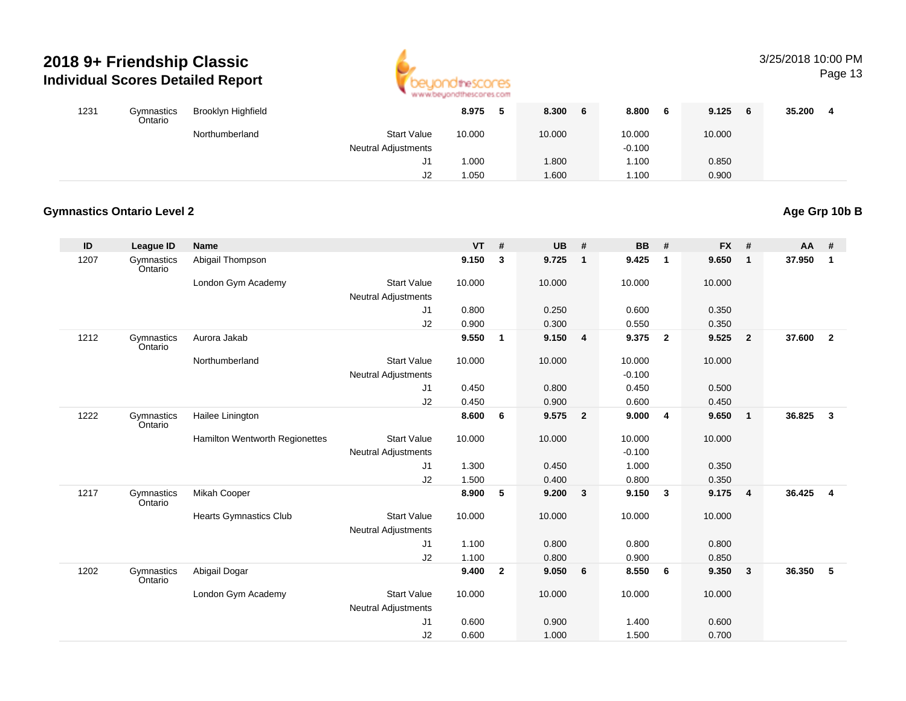

## 3/25/2018 10:00 PM

Page 13

| 1231 | Gymnastics<br>Ontario | Brooklyn Highfield |                            | 8.975  | -5 | 8.300<br>6 | 8.800<br>6 | 9.125<br>- 6 | 35.200 |
|------|-----------------------|--------------------|----------------------------|--------|----|------------|------------|--------------|--------|
|      |                       | Northumberland     | <b>Start Value</b>         | 10.000 |    | 10.000     | 10.000     | 10.000       |        |
|      |                       |                    | <b>Neutral Adjustments</b> |        |    |            | $-0.100$   |              |        |
|      |                       |                    | ا ب                        | 1.000  |    | 1.800      | 1.100      | 0.850        |        |
|      |                       |                    | J2                         | .050   |    | 1.600      | i.100      | 0.900        |        |

#### **Gymnastics Ontario Level 2**

| ID   | League ID             | <b>Name</b>                    |                            | $VT$ # |                | <b>UB</b> | #                       | <b>BB</b> | #                       | <b>FX</b> | #                       | AA     | #                       |
|------|-----------------------|--------------------------------|----------------------------|--------|----------------|-----------|-------------------------|-----------|-------------------------|-----------|-------------------------|--------|-------------------------|
| 1207 | Gymnastics<br>Ontario | Abigail Thompson               |                            | 9.150  | 3              | 9.725     | $\mathbf{1}$            | 9.425     | $\mathbf{1}$            | 9.650     | $\overline{1}$          | 37.950 | $\overline{1}$          |
|      |                       | London Gym Academy             | <b>Start Value</b>         | 10.000 |                | 10.000    |                         | 10.000    |                         | 10.000    |                         |        |                         |
|      |                       |                                | <b>Neutral Adjustments</b> |        |                |           |                         |           |                         |           |                         |        |                         |
|      |                       |                                | J1                         | 0.800  |                | 0.250     |                         | 0.600     |                         | 0.350     |                         |        |                         |
|      |                       |                                | J <sub>2</sub>             | 0.900  |                | 0.300     |                         | 0.550     |                         | 0.350     |                         |        |                         |
| 1212 | Gymnastics<br>Ontario | Aurora Jakab                   |                            | 9.550  | $\mathbf{1}$   | 9.150     | $\overline{\mathbf{4}}$ | 9.375     | $\overline{2}$          | 9.525     | $\overline{\mathbf{2}}$ | 37.600 | $\overline{2}$          |
|      |                       | Northumberland                 | <b>Start Value</b>         | 10.000 |                | 10.000    |                         | 10.000    |                         | 10.000    |                         |        |                         |
|      |                       |                                | <b>Neutral Adjustments</b> |        |                |           |                         | $-0.100$  |                         |           |                         |        |                         |
|      |                       |                                | J1                         | 0.450  |                | 0.800     |                         | 0.450     |                         | 0.500     |                         |        |                         |
|      |                       |                                | J2                         | 0.450  |                | 0.900     |                         | 0.600     |                         | 0.450     |                         |        |                         |
| 1222 | Gymnastics<br>Ontario | Hailee Linington               |                            | 8.600  | 6              | 9.575     | $\overline{2}$          | 9.000     | $\overline{\mathbf{4}}$ | 9.650     | $\overline{\mathbf{1}}$ | 36.825 | $\overline{\mathbf{3}}$ |
|      |                       | Hamilton Wentworth Regionettes | <b>Start Value</b>         | 10.000 |                | 10.000    |                         | 10.000    |                         | 10.000    |                         |        |                         |
|      |                       |                                | Neutral Adjustments        |        |                |           |                         | $-0.100$  |                         |           |                         |        |                         |
|      |                       |                                | J <sub>1</sub>             | 1.300  |                | 0.450     |                         | 1.000     |                         | 0.350     |                         |        |                         |
|      |                       |                                | J2                         | 1.500  |                | 0.400     |                         | 0.800     |                         | 0.350     |                         |        |                         |
| 1217 | Gymnastics<br>Ontario | Mikah Cooper                   |                            | 8.900  | 5              | 9.200     | 3                       | 9.150     | 3                       | 9.175     | $\overline{\mathbf{4}}$ | 36.425 | $\overline{\mathbf{4}}$ |
|      |                       | <b>Hearts Gymnastics Club</b>  | <b>Start Value</b>         | 10.000 |                | 10.000    |                         | 10.000    |                         | 10.000    |                         |        |                         |
|      |                       |                                | <b>Neutral Adjustments</b> |        |                |           |                         |           |                         |           |                         |        |                         |
|      |                       |                                | J1                         | 1.100  |                | 0.800     |                         | 0.800     |                         | 0.800     |                         |        |                         |
|      |                       |                                | J2                         | 1.100  |                | 0.800     |                         | 0.900     |                         | 0.850     |                         |        |                         |
| 1202 | Gymnastics<br>Ontario | Abigail Dogar                  |                            | 9.400  | $\overline{2}$ | 9.050     | - 6                     | 8.550     | 6                       | 9.350     | $\overline{\mathbf{3}}$ | 36.350 | 5                       |
|      |                       | London Gym Academy             | <b>Start Value</b>         | 10.000 |                | 10.000    |                         | 10.000    |                         | 10.000    |                         |        |                         |
|      |                       |                                | <b>Neutral Adjustments</b> |        |                |           |                         |           |                         |           |                         |        |                         |
|      |                       |                                | J <sub>1</sub>             | 0.600  |                | 0.900     |                         | 1.400     |                         | 0.600     |                         |        |                         |
|      |                       |                                | J2                         | 0.600  |                | 1.000     |                         | 1.500     |                         | 0.700     |                         |        |                         |

**Age Grp 10b B**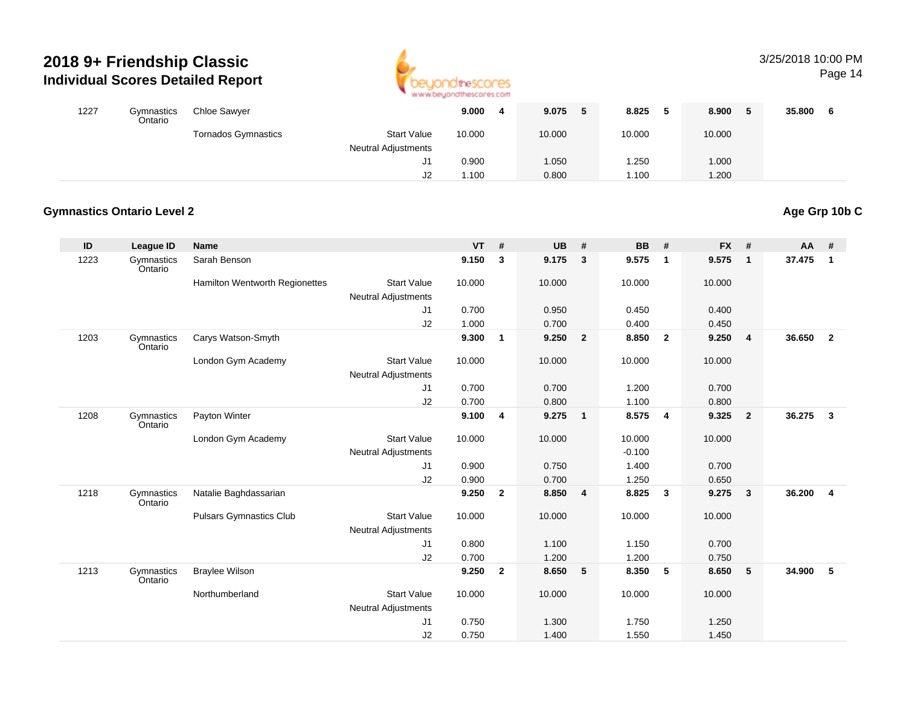

### 3/25/2018 10:00 PM

Page 14

| 1227 | Gymnastics<br>Ontario | <b>Chloe Sawyer</b>        |                            | 9.000  | 9.075<br>5 | 8.825  | 8.900  | 35.800 |  |
|------|-----------------------|----------------------------|----------------------------|--------|------------|--------|--------|--------|--|
|      |                       | <b>Tornados Gymnastics</b> | <b>Start Value</b>         | 10.000 | 10.000     | 10.000 | 10.000 |        |  |
|      |                       |                            | <b>Neutral Adjustments</b> |        |            |        |        |        |  |
|      |                       |                            | J1                         | 0.900  | 1.050      | .250   | 1.000  |        |  |
|      |                       |                            | J2                         | i.100  | 0.800      | 1.100  | 1.200  |        |  |

#### **Gymnastics Ontario Level 2Age Grp 10b C**

| ID   | <b>League ID</b>      | <b>Name</b>                    |                                                  | $VT$ # |              | <b>UB</b> | #                       | <b>BB</b> | #              | <b>FX</b> | #                       | AA     | #                       |
|------|-----------------------|--------------------------------|--------------------------------------------------|--------|--------------|-----------|-------------------------|-----------|----------------|-----------|-------------------------|--------|-------------------------|
| 1223 | Gymnastics<br>Ontario | Sarah Benson                   |                                                  | 9.150  | 3            | 9.175     | 3                       | 9.575     | $\mathbf{1}$   | 9.575     | $\overline{1}$          | 37.475 | $\overline{1}$          |
|      |                       | Hamilton Wentworth Regionettes | <b>Start Value</b>                               | 10.000 |              | 10.000    |                         | 10.000    |                | 10.000    |                         |        |                         |
|      |                       |                                | <b>Neutral Adjustments</b>                       |        |              |           |                         |           |                |           |                         |        |                         |
|      |                       |                                | J1                                               | 0.700  |              | 0.950     |                         | 0.450     |                | 0.400     |                         |        |                         |
|      |                       |                                | J2                                               | 1.000  |              | 0.700     |                         | 0.400     |                | 0.450     |                         |        |                         |
| 1203 | Gymnastics<br>Ontario | Carys Watson-Smyth             |                                                  | 9.300  | $\mathbf{1}$ | 9.250     | $\overline{\mathbf{2}}$ | 8.850     | $\overline{2}$ | 9.250     | $\overline{4}$          | 36.650 | $\overline{2}$          |
|      |                       | London Gym Academy             | <b>Start Value</b><br><b>Neutral Adjustments</b> | 10.000 |              | 10.000    |                         | 10.000    |                | 10.000    |                         |        |                         |
|      |                       |                                | J1                                               | 0.700  |              | 0.700     |                         | 1.200     |                | 0.700     |                         |        |                         |
|      |                       |                                | J2                                               | 0.700  |              | 0.800     |                         | 1.100     |                | 0.800     |                         |        |                         |
| 1208 | Gymnastics<br>Ontario | Payton Winter                  |                                                  | 9.100  | 4            | 9.275     | $\overline{1}$          | 8.575     | $\overline{4}$ | 9.325     | $\overline{\mathbf{2}}$ | 36.275 | $\overline{\mathbf{3}}$ |
|      |                       | London Gym Academy             | <b>Start Value</b>                               | 10.000 |              | 10.000    |                         | 10.000    |                | 10.000    |                         |        |                         |
|      |                       |                                | <b>Neutral Adjustments</b>                       |        |              |           |                         | $-0.100$  |                |           |                         |        |                         |
|      |                       |                                | J1                                               | 0.900  |              | 0.750     |                         | 1.400     |                | 0.700     |                         |        |                         |
|      |                       |                                | J2                                               | 0.900  |              | 0.700     |                         | 1.250     |                | 0.650     |                         |        |                         |
| 1218 | Gymnastics<br>Ontario | Natalie Baghdassarian          |                                                  | 9.250  | $\mathbf{2}$ | 8.850     | $\overline{4}$          | 8.825     | 3              | 9.275     | $\overline{\mathbf{3}}$ | 36.200 | $\overline{4}$          |
|      |                       | <b>Pulsars Gymnastics Club</b> | <b>Start Value</b>                               | 10.000 |              | 10.000    |                         | 10.000    |                | 10.000    |                         |        |                         |
|      |                       |                                | <b>Neutral Adjustments</b>                       |        |              |           |                         |           |                |           |                         |        |                         |
|      |                       |                                | J1                                               | 0.800  |              | 1.100     |                         | 1.150     |                | 0.700     |                         |        |                         |
|      |                       |                                | J2                                               | 0.700  |              | 1.200     |                         | 1.200     |                | 0.750     |                         |        |                         |
| 1213 | Gymnastics<br>Ontario | <b>Braylee Wilson</b>          |                                                  | 9.250  | $\mathbf{2}$ | 8.650     | 5                       | 8.350     | 5              | 8.650     | $-5$                    | 34.900 | 5                       |
|      |                       | Northumberland                 | <b>Start Value</b>                               | 10.000 |              | 10.000    |                         | 10.000    |                | 10.000    |                         |        |                         |
|      |                       |                                | <b>Neutral Adjustments</b>                       |        |              |           |                         |           |                |           |                         |        |                         |
|      |                       |                                | J1                                               | 0.750  |              | 1.300     |                         | 1.750     |                | 1.250     |                         |        |                         |
|      |                       |                                | J2                                               | 0.750  |              | 1.400     |                         | 1.550     |                | 1.450     |                         |        |                         |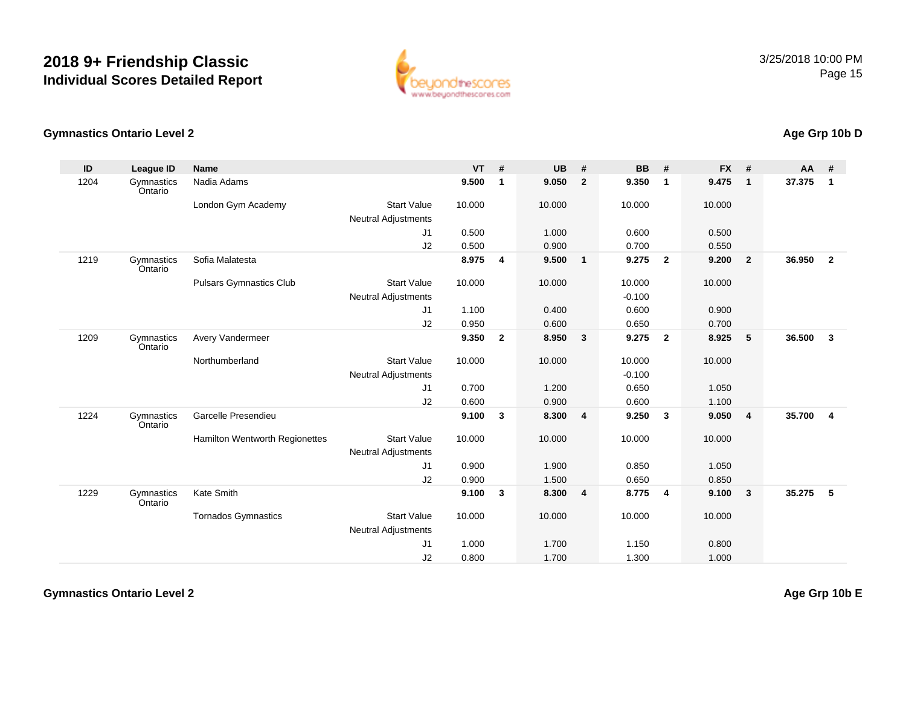

#### **Gymnastics Ontario Level 2Age Grp 10b D**

| ID   | League ID             | <b>Name</b>                           |                            | <b>VT</b> | #              | <b>UB</b> | #                       | <b>BB</b> | #                       | <b>FX</b> | #              | <b>AA</b> | #              |
|------|-----------------------|---------------------------------------|----------------------------|-----------|----------------|-----------|-------------------------|-----------|-------------------------|-----------|----------------|-----------|----------------|
| 1204 | Gymnastics<br>Ontario | Nadia Adams                           |                            | 9.500     | $\mathbf 1$    | 9.050     | $\overline{2}$          | 9.350     | $\overline{\mathbf{1}}$ | 9.475     | $\mathbf{1}$   | 37.375    | $\mathbf{1}$   |
|      |                       | London Gym Academy                    | <b>Start Value</b>         | 10.000    |                | 10.000    |                         | 10.000    |                         | 10.000    |                |           |                |
|      |                       |                                       | <b>Neutral Adjustments</b> |           |                |           |                         |           |                         |           |                |           |                |
|      |                       |                                       | J1                         | 0.500     |                | 1.000     |                         | 0.600     |                         | 0.500     |                |           |                |
|      |                       |                                       | J2                         | 0.500     |                | 0.900     |                         | 0.700     |                         | 0.550     |                |           |                |
| 1219 | Gymnastics<br>Ontario | Sofia Malatesta                       |                            | 8.975     | $\overline{4}$ | 9.500     | $\overline{1}$          | 9.275     | $\overline{2}$          | 9.200     | $\overline{2}$ | 36.950    | $\overline{2}$ |
|      |                       | <b>Pulsars Gymnastics Club</b>        | <b>Start Value</b>         | 10.000    |                | 10.000    |                         | 10.000    |                         | 10.000    |                |           |                |
|      |                       |                                       | <b>Neutral Adjustments</b> |           |                |           |                         | $-0.100$  |                         |           |                |           |                |
|      |                       |                                       | J1                         | 1.100     |                | 0.400     |                         | 0.600     |                         | 0.900     |                |           |                |
|      |                       |                                       | J2                         | 0.950     |                | 0.600     |                         | 0.650     |                         | 0.700     |                |           |                |
| 1209 | Gymnastics<br>Ontario | Avery Vandermeer                      |                            | 9.350     | $\overline{2}$ | 8.950     | $\mathbf{3}$            | 9.275     | $\overline{2}$          | 8.925     | 5              | 36.500    | $\mathbf{3}$   |
|      |                       | Northumberland                        | <b>Start Value</b>         | 10.000    |                | 10.000    |                         | 10.000    |                         | 10.000    |                |           |                |
|      |                       |                                       | <b>Neutral Adjustments</b> |           |                |           |                         | $-0.100$  |                         |           |                |           |                |
|      |                       |                                       | J1                         | 0.700     |                | 1.200     |                         | 0.650     |                         | 1.050     |                |           |                |
|      |                       |                                       | J2                         | 0.600     |                | 0.900     |                         | 0.600     |                         | 1.100     |                |           |                |
| 1224 | Gymnastics<br>Ontario | Garcelle Presendieu                   |                            | 9.100     | 3              | 8.300     | $\overline{\mathbf{4}}$ | 9.250     | $\mathbf{3}$            | 9.050     | $\overline{4}$ | 35.700    | $\overline{4}$ |
|      |                       | <b>Hamilton Wentworth Regionettes</b> | <b>Start Value</b>         | 10.000    |                | 10.000    |                         | 10.000    |                         | 10.000    |                |           |                |
|      |                       |                                       | Neutral Adjustments        |           |                |           |                         |           |                         |           |                |           |                |
|      |                       |                                       | J1                         | 0.900     |                | 1.900     |                         | 0.850     |                         | 1.050     |                |           |                |
|      |                       |                                       | J2                         | 0.900     |                | 1.500     |                         | 0.650     |                         | 0.850     |                |           |                |
| 1229 | Gymnastics<br>Ontario | Kate Smith                            |                            | 9.100     | 3              | 8.300     | $\overline{\mathbf{4}}$ | 8.775     | $\overline{\mathbf{4}}$ | 9.100     | $\mathbf{3}$   | 35.275    | 5              |
|      |                       | <b>Tornados Gymnastics</b>            | <b>Start Value</b>         | 10.000    |                | 10.000    |                         | 10.000    |                         | 10.000    |                |           |                |
|      |                       |                                       | <b>Neutral Adjustments</b> |           |                |           |                         |           |                         |           |                |           |                |
|      |                       |                                       | J1                         | 1.000     |                | 1.700     |                         | 1.150     |                         | 0.800     |                |           |                |
|      |                       |                                       | J2                         | 0.800     |                | 1.700     |                         | 1.300     |                         | 1.000     |                |           |                |

**Gymnastics Ontario Level 2**

**Age Grp 10b E**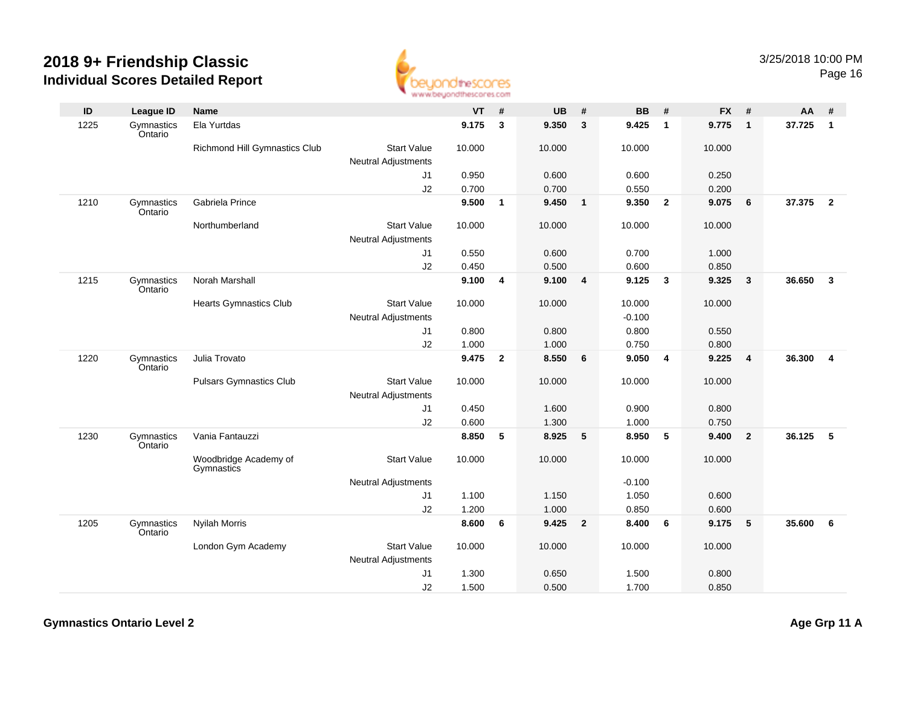

| ID   | League ID             | Name                                |                            | <b>VT</b> | #              | <b>UB</b> | #                       | <b>BB</b> | #                       | <b>FX</b> | #                       | AA     | #                       |
|------|-----------------------|-------------------------------------|----------------------------|-----------|----------------|-----------|-------------------------|-----------|-------------------------|-----------|-------------------------|--------|-------------------------|
| 1225 | Gymnastics<br>Ontario | Ela Yurtdas                         |                            | 9.175     | 3              | 9.350     | $\mathbf{3}$            | 9.425     | $\mathbf{1}$            | 9.775     | $\overline{\mathbf{1}}$ | 37.725 | $\mathbf{1}$            |
|      |                       | Richmond Hill Gymnastics Club       | <b>Start Value</b>         | 10.000    |                | 10.000    |                         | 10.000    |                         | 10.000    |                         |        |                         |
|      |                       |                                     | <b>Neutral Adjustments</b> |           |                |           |                         |           |                         |           |                         |        |                         |
|      |                       |                                     | J1                         | 0.950     |                | 0.600     |                         | 0.600     |                         | 0.250     |                         |        |                         |
|      |                       |                                     | J2                         | 0.700     |                | 0.700     |                         | 0.550     |                         | 0.200     |                         |        |                         |
| 1210 | Gymnastics<br>Ontario | Gabriela Prince                     |                            | 9.500     | $\mathbf{1}$   | 9.450     | $\overline{\mathbf{1}}$ | 9.350     | $\overline{2}$          | 9.075     | $6\phantom{1}6$         | 37.375 | $\overline{2}$          |
|      |                       | Northumberland                      | <b>Start Value</b>         | 10.000    |                | 10.000    |                         | 10.000    |                         | 10.000    |                         |        |                         |
|      |                       |                                     | <b>Neutral Adjustments</b> |           |                |           |                         |           |                         |           |                         |        |                         |
|      |                       |                                     | J1                         | 0.550     |                | 0.600     |                         | 0.700     |                         | 1.000     |                         |        |                         |
|      |                       |                                     | J2                         | 0.450     |                | 0.500     |                         | 0.600     |                         | 0.850     |                         |        |                         |
| 1215 | Gymnastics<br>Ontario | Norah Marshall                      |                            | 9.100     | 4              | 9.100     | 4                       | 9.125     | $\overline{\mathbf{3}}$ | 9.325     | $\overline{\mathbf{3}}$ | 36.650 | $\mathbf{3}$            |
|      |                       | <b>Hearts Gymnastics Club</b>       | <b>Start Value</b>         | 10.000    |                | 10.000    |                         | 10.000    |                         | 10.000    |                         |        |                         |
|      |                       |                                     | <b>Neutral Adjustments</b> |           |                |           |                         | $-0.100$  |                         |           |                         |        |                         |
|      |                       |                                     | J1                         | 0.800     |                | 0.800     |                         | 0.800     |                         | 0.550     |                         |        |                         |
|      |                       |                                     | J2                         | 1.000     |                | 1.000     |                         | 0.750     |                         | 0.800     |                         |        |                         |
| 1220 | Gymnastics<br>Ontario | Julia Trovato                       |                            | 9.475     | $\overline{2}$ | 8.550     | 6                       | 9.050     | $\overline{4}$          | 9.225     | $\overline{4}$          | 36.300 | $\overline{\mathbf{4}}$ |
|      |                       | <b>Pulsars Gymnastics Club</b>      | <b>Start Value</b>         | 10.000    |                | 10.000    |                         | 10.000    |                         | 10.000    |                         |        |                         |
|      |                       |                                     | <b>Neutral Adjustments</b> |           |                |           |                         |           |                         |           |                         |        |                         |
|      |                       |                                     | J1                         | 0.450     |                | 1.600     |                         | 0.900     |                         | 0.800     |                         |        |                         |
|      |                       |                                     | J2                         | 0.600     |                | 1.300     |                         | 1.000     |                         | 0.750     |                         |        |                         |
| 1230 | Gymnastics<br>Ontario | Vania Fantauzzi                     |                            | 8.850     | 5              | 8.925     | 5                       | 8.950     | $-5$                    | 9.400     | $\overline{\mathbf{2}}$ | 36.125 | 5                       |
|      |                       | Woodbridge Academy of<br>Gymnastics | <b>Start Value</b>         | 10.000    |                | 10.000    |                         | 10.000    |                         | 10.000    |                         |        |                         |
|      |                       |                                     | <b>Neutral Adjustments</b> |           |                |           |                         | $-0.100$  |                         |           |                         |        |                         |
|      |                       |                                     | J1                         | 1.100     |                | 1.150     |                         | 1.050     |                         | 0.600     |                         |        |                         |
|      |                       |                                     | J2                         | 1.200     |                | 1.000     |                         | 0.850     |                         | 0.600     |                         |        |                         |
| 1205 | Gymnastics<br>Ontario | <b>Nyilah Morris</b>                |                            | 8.600     | 6              | 9.425     | $\overline{2}$          | 8.400     | 6                       | 9.175     | 5                       | 35.600 | 6                       |
|      |                       | London Gym Academy                  | <b>Start Value</b>         | 10.000    |                | 10.000    |                         | 10.000    |                         | 10.000    |                         |        |                         |
|      |                       |                                     | <b>Neutral Adjustments</b> |           |                |           |                         |           |                         |           |                         |        |                         |
|      |                       |                                     | J1                         | 1.300     |                | 0.650     |                         | 1.500     |                         | 0.800     |                         |        |                         |
|      |                       |                                     | J2                         | 1.500     |                | 0.500     |                         | 1.700     |                         | 0.850     |                         |        |                         |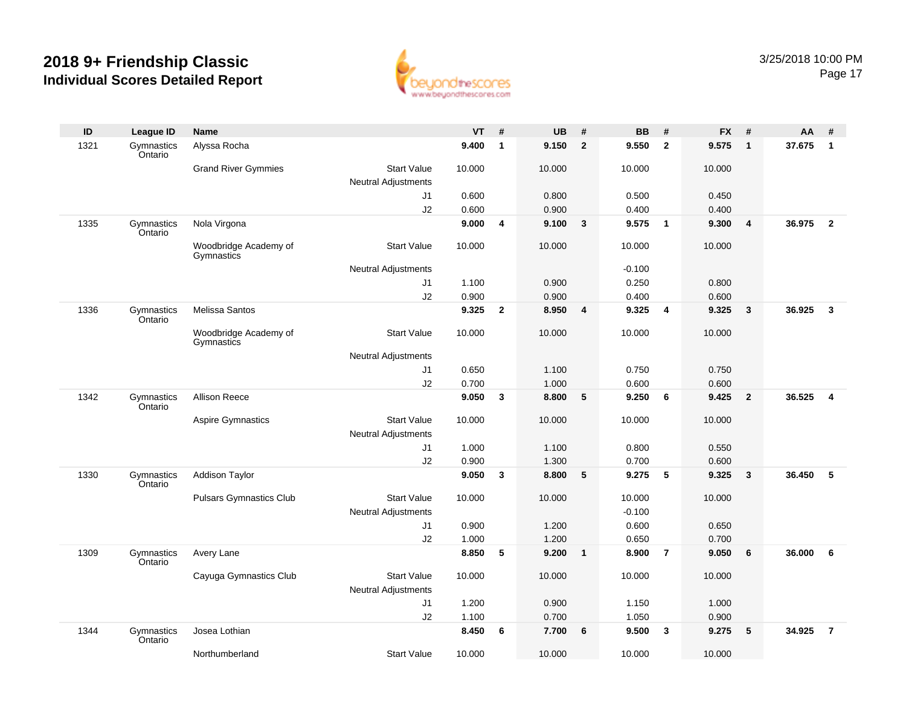

| ID   | League ID             | <b>Name</b>                         |                            | <b>VT</b> | #            | <b>UB</b> | #              | <b>BB</b> | #              | <b>FX</b> | #               | AA     | #                       |
|------|-----------------------|-------------------------------------|----------------------------|-----------|--------------|-----------|----------------|-----------|----------------|-----------|-----------------|--------|-------------------------|
| 1321 | Gymnastics<br>Ontario | Alyssa Rocha                        |                            | 9.400     | $\mathbf{1}$ | 9.150     | $\overline{2}$ | 9.550     | $\overline{2}$ | 9.575     | $\overline{1}$  | 37.675 | $\mathbf{1}$            |
|      |                       | <b>Grand River Gymmies</b>          | <b>Start Value</b>         | 10.000    |              | 10.000    |                | 10.000    |                | 10.000    |                 |        |                         |
|      |                       |                                     | <b>Neutral Adjustments</b> |           |              |           |                |           |                |           |                 |        |                         |
|      |                       |                                     | J1                         | 0.600     |              | 0.800     |                | 0.500     |                | 0.450     |                 |        |                         |
|      |                       |                                     | J2                         | 0.600     |              | 0.900     |                | 0.400     |                | 0.400     |                 |        |                         |
| 1335 | Gymnastics<br>Ontario | Nola Virgona                        |                            | 9.000     | 4            | 9.100     | $\mathbf{3}$   | 9.575     | $\overline{1}$ | 9.300     | $\overline{4}$  | 36.975 | $\overline{2}$          |
|      |                       | Woodbridge Academy of<br>Gymnastics | <b>Start Value</b>         | 10.000    |              | 10.000    |                | 10.000    |                | 10.000    |                 |        |                         |
|      |                       |                                     | <b>Neutral Adjustments</b> |           |              |           |                | $-0.100$  |                |           |                 |        |                         |
|      |                       |                                     | J1                         | 1.100     |              | 0.900     |                | 0.250     |                | 0.800     |                 |        |                         |
|      |                       |                                     | J2                         | 0.900     |              | 0.900     |                | 0.400     |                | 0.600     |                 |        |                         |
| 1336 | Gymnastics<br>Ontario | <b>Melissa Santos</b>               |                            | 9.325     | $\mathbf{2}$ | 8.950     | 4              | 9.325     | 4              | 9.325     | $\mathbf{3}$    | 36.925 | $\overline{\mathbf{3}}$ |
|      |                       | Woodbridge Academy of<br>Gymnastics | <b>Start Value</b>         | 10.000    |              | 10.000    |                | 10.000    |                | 10.000    |                 |        |                         |
|      |                       |                                     | <b>Neutral Adjustments</b> |           |              |           |                |           |                |           |                 |        |                         |
|      |                       |                                     | J1                         | 0.650     |              | 1.100     |                | 0.750     |                | 0.750     |                 |        |                         |
|      |                       |                                     | J2                         | 0.700     |              | 1.000     |                | 0.600     |                | 0.600     |                 |        |                         |
| 1342 | Gymnastics<br>Ontario | <b>Allison Reece</b>                |                            | 9.050     | 3            | 8.800     | 5              | 9.250     | 6              | 9.425     | $\overline{2}$  | 36.525 | $\overline{4}$          |
|      |                       | <b>Aspire Gymnastics</b>            | <b>Start Value</b>         | 10.000    |              | 10.000    |                | 10.000    |                | 10.000    |                 |        |                         |
|      |                       |                                     | <b>Neutral Adjustments</b> |           |              |           |                |           |                |           |                 |        |                         |
|      |                       |                                     | J1                         | 1.000     |              | 1.100     |                | 0.800     |                | 0.550     |                 |        |                         |
|      |                       |                                     | J2                         | 0.900     |              | 1.300     |                | 0.700     |                | 0.600     |                 |        |                         |
| 1330 | Gymnastics<br>Ontario | <b>Addison Taylor</b>               |                            | 9.050     | 3            | 8.800     | 5              | 9.275     | 5              | 9.325     | $\mathbf{3}$    | 36.450 | 5                       |
|      |                       | <b>Pulsars Gymnastics Club</b>      | <b>Start Value</b>         | 10.000    |              | 10.000    |                | 10.000    |                | 10.000    |                 |        |                         |
|      |                       |                                     | <b>Neutral Adjustments</b> |           |              |           |                | $-0.100$  |                |           |                 |        |                         |
|      |                       |                                     | J1                         | 0.900     |              | 1.200     |                | 0.600     |                | 0.650     |                 |        |                         |
|      |                       |                                     | J2                         | 1.000     |              | 1.200     |                | 0.650     |                | 0.700     |                 |        |                         |
| 1309 | Gymnastics<br>Ontario | Avery Lane                          |                            | 8.850     | 5            | 9.200     | $\mathbf{1}$   | 8.900     | $\overline{7}$ | 9.050     | 6               | 36.000 | 6                       |
|      |                       | Cayuga Gymnastics Club              | <b>Start Value</b>         | 10.000    |              | 10.000    |                | 10.000    |                | 10.000    |                 |        |                         |
|      |                       |                                     | <b>Neutral Adjustments</b> |           |              |           |                |           |                |           |                 |        |                         |
|      |                       |                                     | J1                         | 1.200     |              | 0.900     |                | 1.150     |                | 1.000     |                 |        |                         |
|      |                       |                                     | J2                         | 1.100     |              | 0.700     |                | 1.050     |                | 0.900     |                 |        |                         |
| 1344 | Gymnastics<br>Ontario | Josea Lothian                       |                            | 8.450     | 6            | 7.700     | 6              | 9.500     | $\mathbf{3}$   | 9.275     | $5\phantom{.0}$ | 34.925 | $\overline{7}$          |
|      |                       | Northumberland                      | <b>Start Value</b>         | 10.000    |              | 10.000    |                | 10.000    |                | 10.000    |                 |        |                         |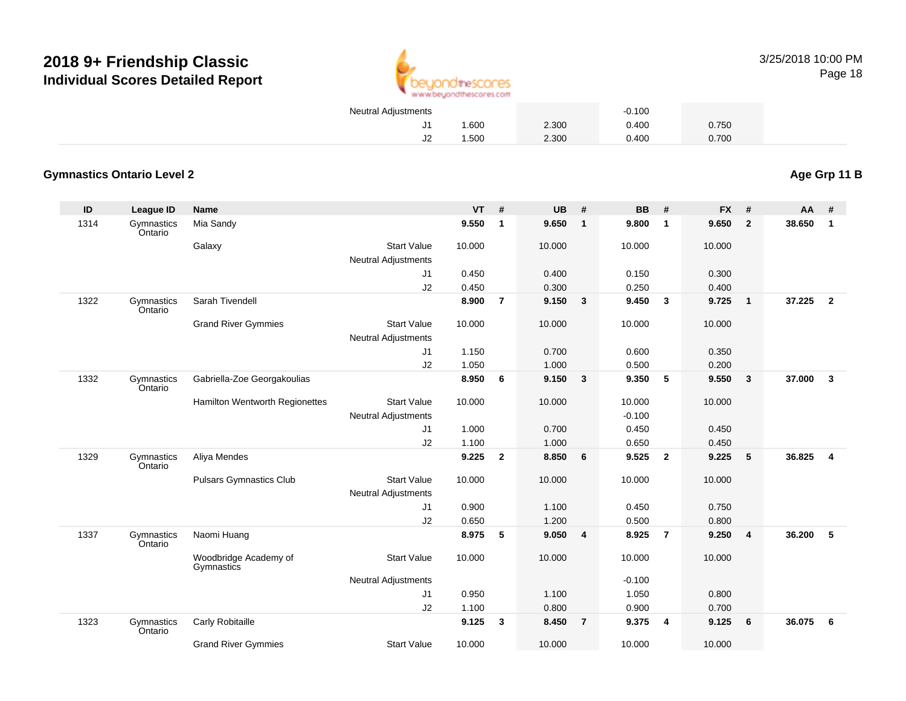

| Neutral Adjustments |       |       | $-0.100$ |       |  |
|---------------------|-------|-------|----------|-------|--|
|                     | 1.600 | 2.300 | 0.400    | 0.750 |  |
|                     | 1.500 | 2.300 | 0.400    | 0.700 |  |

#### **Gymnastics Ontario Level 2**

**ID League ID Name VT # UB # BB # FX # AA #** 1314 Gymnastics OntarioMia Sandy **9.550 <sup>1</sup> 9.650 <sup>1</sup> 9.800 <sup>1</sup> 9.650 <sup>2</sup> 38.650 <sup>1</sup> Galaxy**  Start Valuee 10.000 10.000 10.000 10.000 Neutral Adjustments J1 0.450 0.400 0.150 0.300 J2 0.450 0.300 0.250 0.400 1322 Gymnastics OntarioSarah Tivendell **8.900 <sup>7</sup> 9.150 <sup>3</sup> 9.450 <sup>3</sup> 9.725 <sup>1</sup> 37.225 <sup>2</sup>** Grand River Gymmies Start Valuee 10.000 10.000 10.000 10.000 Neutral Adjustments J1 1.150 0.700 0.600 0.350 J2 1.050 1.000 0.500 0.200 1332 Gymnastics OntarioGabriella-Zoe Georgakoulias **8.950 <sup>6</sup> 9.150 <sup>3</sup> 9.350 <sup>5</sup> 9.550 <sup>3</sup> 37.000 <sup>3</sup>** Hamilton Wentworth Regionettes Start Valuee 10.000 10.000 10.000 10.000 Neutral Adjustments $-0.100$ 0.450 J1 1.000 0.700 0.450 0.450 J2 1.100 1.000 0.650 0.450 1329 Gymnastics OntarioAliya Mendes **9.225 <sup>2</sup> 8.850 <sup>6</sup> 9.525 <sup>2</sup> 9.225 <sup>5</sup> 36.825 <sup>4</sup>** Pulsars Gymnastics Club Start Value 10.000 10.000 10.000 10.000 Neutral Adjustments J1 0.900 1.100 0.450 0.750 J2 0.650 1.200 0.500 0.800 1337 Gymnastics OntarioNaomi Huang **8.975 <sup>5</sup> 9.050 <sup>4</sup> 8.925 <sup>7</sup> 9.250 <sup>4</sup> 36.200 <sup>5</sup>** Woodbridge Academy of**Gymnastics** Start Valuee 10.000 10.000 10.000 10.000 Neutral Adjustments $-0.100$ 1.050 J1 0.950 1.100 1.050 0.800 J2 1.100 0.800 0.900 0.700 1323**Gymnastics** OntarioCarly Robitaille **9.125 <sup>3</sup> 8.450 <sup>7</sup> 9.375 <sup>4</sup> 9.125 <sup>6</sup> 36.075 <sup>6</sup>** Grand River Gymmies Start Valuee 10.000 10.000 10.000 10.000

**Age Grp 11 B**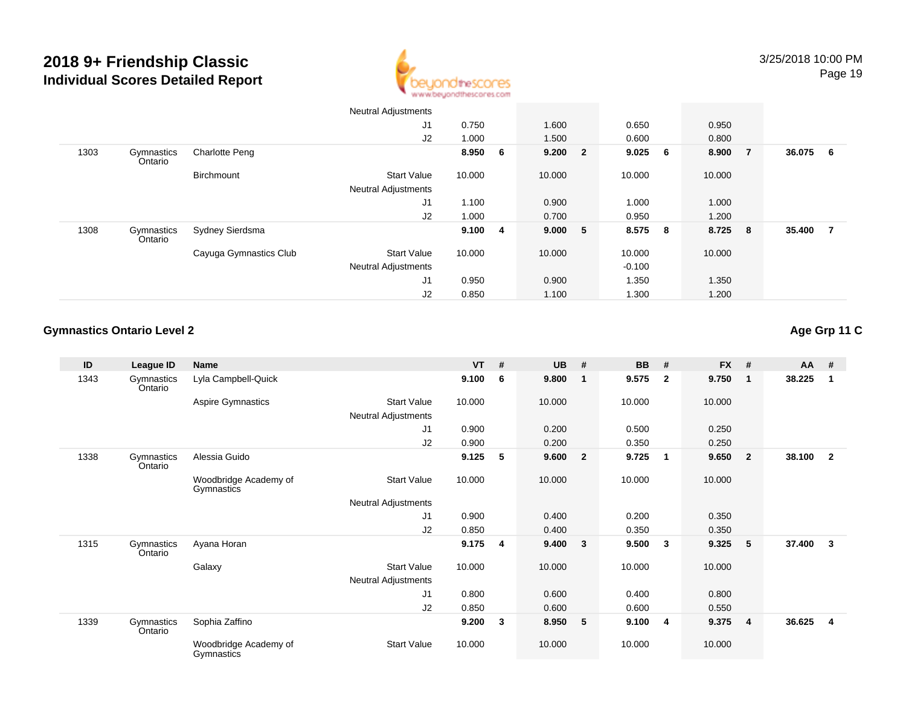

|      |                       |                        | <b>Neutral Adjustments</b> |         |         |    |           |        |                         |        |     |
|------|-----------------------|------------------------|----------------------------|---------|---------|----|-----------|--------|-------------------------|--------|-----|
|      |                       |                        | J <sub>1</sub>             | 0.750   | 1.600   |    | 0.650     | 0.950  |                         |        |     |
|      |                       |                        | J2                         | 1.000   | 1.500   |    | 0.600     | 0.800  |                         |        |     |
| 1303 | Gymnastics<br>Ontario | <b>Charlotte Peng</b>  |                            | 8.950 6 | 9.200 2 |    | $9.025$ 6 | 8.900  | $\overline{7}$          | 36.075 | - 6 |
|      |                       | Birchmount             | <b>Start Value</b>         | 10.000  | 10.000  |    | 10.000    | 10.000 |                         |        |     |
|      |                       |                        | <b>Neutral Adjustments</b> |         |         |    |           |        |                         |        |     |
|      |                       |                        | J1                         | 1.100   | 0.900   |    | 1.000     | 1.000  |                         |        |     |
|      |                       |                        | J2                         | 1.000   | 0.700   |    | 0.950     | 1.200  |                         |        |     |
| 1308 | Gymnastics<br>Ontario | Sydney Sierdsma        |                            | 9.100 4 | 9.000   | -5 | 8.575 8   | 8.725  | $\overline{\mathbf{8}}$ | 35.400 | - 7 |
|      |                       | Cayuga Gymnastics Club | <b>Start Value</b>         | 10.000  | 10.000  |    | 10.000    | 10.000 |                         |        |     |
|      |                       |                        | <b>Neutral Adjustments</b> |         |         |    | $-0.100$  |        |                         |        |     |
|      |                       |                        | J <sub>1</sub>             | 0.950   | 0.900   |    | 1.350     | 1.350  |                         |        |     |
|      |                       |                        | J2                         | 0.850   | 1.100   |    | 1.300     | 1.200  |                         |        |     |

#### **Gymnastics Ontario Level 2**

| ID   | League ID             | <b>Name</b>                         |                            | $VT$ # |   | <b>UB</b> | #              | <b>BB</b> | #            | <b>FX</b> | #                       | AA     | #              |
|------|-----------------------|-------------------------------------|----------------------------|--------|---|-----------|----------------|-----------|--------------|-----------|-------------------------|--------|----------------|
| 1343 | Gymnastics<br>Ontario | Lyla Campbell-Quick                 |                            | 9.100  | 6 | 9.800     | 1              | 9.575     | $\mathbf{2}$ | 9.750     | - 1                     | 38.225 | $\overline{1}$ |
|      |                       | Aspire Gymnastics                   | <b>Start Value</b>         | 10.000 |   | 10.000    |                | 10.000    |              | 10.000    |                         |        |                |
|      |                       |                                     | Neutral Adjustments        |        |   |           |                |           |              |           |                         |        |                |
|      |                       |                                     | J1                         | 0.900  |   | 0.200     |                | 0.500     |              | 0.250     |                         |        |                |
|      |                       |                                     | J2                         | 0.900  |   | 0.200     |                | 0.350     |              | 0.250     |                         |        |                |
| 1338 | Gymnastics<br>Ontario | Alessia Guido                       |                            | 9.125  | 5 | 9.600     | $\overline{2}$ | 9.725     | 1            | 9.650     | $\overline{\mathbf{2}}$ | 38.100 | $\overline{2}$ |
|      |                       | Woodbridge Academy of<br>Gymnastics | <b>Start Value</b>         | 10.000 |   | 10.000    |                | 10.000    |              | 10.000    |                         |        |                |
|      |                       |                                     | <b>Neutral Adjustments</b> |        |   |           |                |           |              |           |                         |        |                |
|      |                       |                                     | J <sub>1</sub>             | 0.900  |   | 0.400     |                | 0.200     |              | 0.350     |                         |        |                |
|      |                       |                                     | J2                         | 0.850  |   | 0.400     |                | 0.350     |              | 0.350     |                         |        |                |
| 1315 | Gymnastics<br>Ontario | Ayana Horan                         |                            | 9.175  | 4 | 9.400     | 3              | 9.500     | 3            | 9.325     | 5                       | 37.400 | - 3            |
|      |                       | Galaxy                              | <b>Start Value</b>         | 10.000 |   | 10.000    |                | 10.000    |              | 10.000    |                         |        |                |
|      |                       |                                     | Neutral Adjustments        |        |   |           |                |           |              |           |                         |        |                |
|      |                       |                                     | J <sub>1</sub>             | 0.800  |   | 0.600     |                | 0.400     |              | 0.800     |                         |        |                |
|      |                       |                                     | J2                         | 0.850  |   | 0.600     |                | 0.600     |              | 0.550     |                         |        |                |
| 1339 | Gymnastics<br>Ontario | Sophia Zaffino                      |                            | 9.200  | 3 | 8.950     | 5              | 9.100     | 4            | 9.375     | $\overline{\mathbf{4}}$ | 36.625 | - 4            |
|      |                       | Woodbridge Academy of<br>Gymnastics | <b>Start Value</b>         | 10.000 |   | 10.000    |                | 10.000    |              | 10.000    |                         |        |                |

#### **Age Grp 11 C**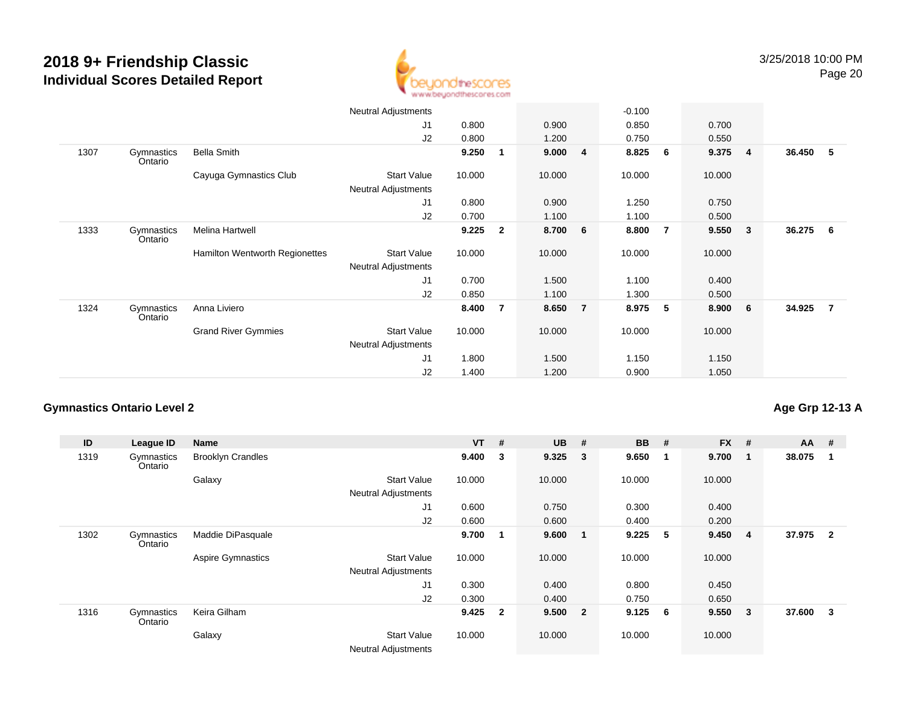

|      |                       |                                | <b>Neutral Adjustments</b> |        |                |        |                         | $-0.100$ |                  |        |                         |        |     |
|------|-----------------------|--------------------------------|----------------------------|--------|----------------|--------|-------------------------|----------|------------------|--------|-------------------------|--------|-----|
|      |                       |                                | J <sub>1</sub>             | 0.800  |                | 0.900  |                         | 0.850    |                  | 0.700  |                         |        |     |
|      |                       |                                | J2                         | 0.800  |                | 1.200  |                         | 0.750    |                  | 0.550  |                         |        |     |
| 1307 | Gymnastics<br>Ontario | <b>Bella Smith</b>             |                            | 9.250  | 1              | 9.000  | $\overline{\mathbf{4}}$ | 8.825    | $6\phantom{.0}6$ | 9.375  | $\overline{4}$          | 36.450 | - 5 |
|      |                       | Cayuga Gymnastics Club         | <b>Start Value</b>         | 10.000 |                | 10.000 |                         | 10.000   |                  | 10.000 |                         |        |     |
|      |                       |                                | Neutral Adjustments        |        |                |        |                         |          |                  |        |                         |        |     |
|      |                       |                                | J1                         | 0.800  |                | 0.900  |                         | 1.250    |                  | 0.750  |                         |        |     |
|      |                       |                                | J2                         | 0.700  |                | 1.100  |                         | 1.100    |                  | 0.500  |                         |        |     |
| 1333 | Gymnastics<br>Ontario | Melina Hartwell                |                            | 9.225  | $\overline{2}$ | 8.700  | 6                       | 8.800    | $\overline{7}$   | 9.550  | $\overline{\mathbf{3}}$ | 36.275 | - 6 |
|      |                       | Hamilton Wentworth Regionettes | <b>Start Value</b>         | 10.000 |                | 10.000 |                         | 10.000   |                  | 10.000 |                         |        |     |
|      |                       |                                | Neutral Adjustments        |        |                |        |                         |          |                  |        |                         |        |     |
|      |                       |                                | J <sub>1</sub>             | 0.700  |                | 1.500  |                         | 1.100    |                  | 0.400  |                         |        |     |
|      |                       |                                | J2                         | 0.850  |                | 1.100  |                         | 1.300    |                  | 0.500  |                         |        |     |
| 1324 | Gymnastics<br>Ontario | Anna Liviero                   |                            | 8.400  | $\overline{7}$ | 8.650  | $\overline{7}$          | 8.975    | 5                | 8.900  | $6\overline{6}$         | 34.925 | -7  |
|      |                       | <b>Grand River Gymmies</b>     | <b>Start Value</b>         | 10.000 |                | 10.000 |                         | 10.000   |                  | 10.000 |                         |        |     |
|      |                       |                                | <b>Neutral Adjustments</b> |        |                |        |                         |          |                  |        |                         |        |     |
|      |                       |                                | J <sub>1</sub>             | 1.800  |                | 1.500  |                         | 1.150    |                  | 1.150  |                         |        |     |
|      |                       |                                | J2                         | 1.400  |                | 1.200  |                         | 0.900    |                  | 1.050  |                         |        |     |

#### **Gymnastics Ontario Level 2**

#### **Age Grp 12-13 A**

| ID   | <b>League ID</b>      | <b>Name</b>              |                                                  | $VT$ # |              | <b>UB</b> | #                       | <b>BB</b> | #   | <b>FX</b> | #  | $AA$ # |                |
|------|-----------------------|--------------------------|--------------------------------------------------|--------|--------------|-----------|-------------------------|-----------|-----|-----------|----|--------|----------------|
| 1319 | Gymnastics<br>Ontario | <b>Brooklyn Crandles</b> |                                                  | 9.400  | 3            | 9.325     | $\overline{\mathbf{3}}$ | 9.650     | -1  | 9.700     | -1 | 38.075 |                |
|      |                       | Galaxy                   | <b>Start Value</b>                               | 10.000 |              | 10.000    |                         | 10.000    |     | 10.000    |    |        |                |
|      |                       |                          | <b>Neutral Adjustments</b>                       |        |              |           |                         |           |     |           |    |        |                |
|      |                       |                          | J1                                               | 0.600  |              | 0.750     |                         | 0.300     |     | 0.400     |    |        |                |
|      |                       |                          | J2                                               | 0.600  |              | 0.600     |                         | 0.400     |     | 0.200     |    |        |                |
| 1302 | Gymnastics<br>Ontario | Maddie DiPasquale        |                                                  | 9.700  | 1            | 9.600     | $\overline{\mathbf{1}}$ | 9.225     | -5  | 9.450     | 4  | 37.975 | $\overline{2}$ |
|      |                       | <b>Aspire Gymnastics</b> | <b>Start Value</b>                               | 10.000 |              | 10.000    |                         | 10.000    |     | 10.000    |    |        |                |
|      |                       |                          | <b>Neutral Adjustments</b>                       |        |              |           |                         |           |     |           |    |        |                |
|      |                       |                          | J1                                               | 0.300  |              | 0.400     |                         | 0.800     |     | 0.450     |    |        |                |
|      |                       |                          | J2                                               | 0.300  |              | 0.400     |                         | 0.750     |     | 0.650     |    |        |                |
| 1316 | Gymnastics<br>Ontario | Keira Gilham             |                                                  | 9.425  | $\mathbf{2}$ | 9.500     | $\sim$ 2                | 9.125     | - 6 | 9.550     | 3  | 37.600 | 3              |
|      |                       | Galaxy                   | <b>Start Value</b><br><b>Neutral Adjustments</b> | 10.000 |              | 10.000    |                         | 10.000    |     | 10.000    |    |        |                |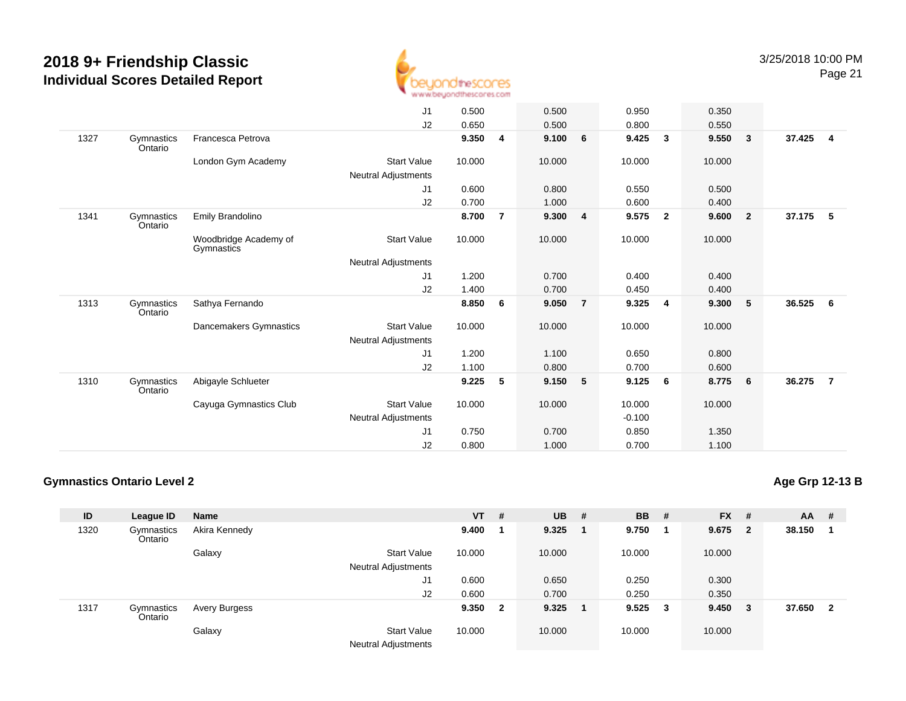

|      |                       |                                     | J <sub>1</sub>             | 0.500  |                | 0.500  |                         | 0.950    |              | 0.350  |                         |        |                         |
|------|-----------------------|-------------------------------------|----------------------------|--------|----------------|--------|-------------------------|----------|--------------|--------|-------------------------|--------|-------------------------|
|      |                       |                                     | J2                         | 0.650  |                | 0.500  |                         | 0.800    |              | 0.550  |                         |        |                         |
| 1327 | Gymnastics<br>Ontario | Francesca Petrova                   |                            | 9.350  | 4              | 9.100  | 6                       | 9.425    | 3            | 9.550  | $\overline{\mathbf{3}}$ | 37.425 | $\overline{\mathbf{4}}$ |
|      |                       | London Gym Academy                  | <b>Start Value</b>         | 10.000 |                | 10.000 |                         | 10.000   |              | 10.000 |                         |        |                         |
|      |                       |                                     | <b>Neutral Adjustments</b> |        |                |        |                         |          |              |        |                         |        |                         |
|      |                       |                                     | J1                         | 0.600  |                | 0.800  |                         | 0.550    |              | 0.500  |                         |        |                         |
|      |                       |                                     | J2                         | 0.700  |                | 1.000  |                         | 0.600    |              | 0.400  |                         |        |                         |
| 1341 | Gymnastics<br>Ontario | Emily Brandolino                    |                            | 8.700  | $\overline{7}$ | 9.300  | $\overline{\mathbf{4}}$ | 9.575    | $\mathbf{2}$ | 9.600  | $\overline{\mathbf{2}}$ | 37.175 | 5                       |
|      |                       | Woodbridge Academy of<br>Gymnastics | <b>Start Value</b>         | 10.000 |                | 10.000 |                         | 10.000   |              | 10.000 |                         |        |                         |
|      |                       |                                     | <b>Neutral Adjustments</b> |        |                |        |                         |          |              |        |                         |        |                         |
|      |                       |                                     | J1                         | 1.200  |                | 0.700  |                         | 0.400    |              | 0.400  |                         |        |                         |
|      |                       |                                     | J2                         | 1.400  |                | 0.700  |                         | 0.450    |              | 0.400  |                         |        |                         |
| 1313 | Gymnastics<br>Ontario | Sathya Fernando                     |                            | 8.850  | 6              | 9.050  | $\overline{7}$          | 9.325    | 4            | 9.300  | 5 <sup>5</sup>          | 36.525 | - 6                     |
|      |                       | Dancemakers Gymnastics              | <b>Start Value</b>         | 10.000 |                | 10.000 |                         | 10.000   |              | 10.000 |                         |        |                         |
|      |                       |                                     | <b>Neutral Adjustments</b> |        |                |        |                         |          |              |        |                         |        |                         |
|      |                       |                                     | J1                         | 1.200  |                | 1.100  |                         | 0.650    |              | 0.800  |                         |        |                         |
|      |                       |                                     | J2                         | 1.100  |                | 0.800  |                         | 0.700    |              | 0.600  |                         |        |                         |
| 1310 | Gymnastics<br>Ontario | Abigayle Schlueter                  |                            | 9.225  | 5              | 9.150  | 5                       | 9.125    | 6            | 8.775  | $6\overline{6}$         | 36.275 | $\overline{7}$          |
|      |                       | Cayuga Gymnastics Club              | <b>Start Value</b>         | 10.000 |                | 10.000 |                         | 10.000   |              | 10.000 |                         |        |                         |
|      |                       |                                     | Neutral Adjustments        |        |                |        |                         | $-0.100$ |              |        |                         |        |                         |
|      |                       |                                     | J <sub>1</sub>             | 0.750  |                | 0.700  |                         | 0.850    |              | 1.350  |                         |        |                         |
|      |                       |                                     | J2                         | 0.800  |                | 1.000  |                         | 0.700    |              | 1.100  |                         |        |                         |
|      |                       |                                     |                            |        |                |        |                         |          |              |        |                         |        |                         |

#### **Gymnastics Ontario Level 2**

**Age Grp 12-13 B**

| ID   | League ID             | Name          |                                           | $VT$ # |                         | $UB$ # | <b>BB</b> | #                       | <b>FX</b> | #            | $AA$ # |              |
|------|-----------------------|---------------|-------------------------------------------|--------|-------------------------|--------|-----------|-------------------------|-----------|--------------|--------|--------------|
| 1320 | Gymnastics<br>Ontario | Akira Kennedy |                                           | 9.400  |                         | 9.325  | 9.750     |                         | 9.675     | $\mathbf{2}$ | 38.150 |              |
|      |                       | Galaxy        | <b>Start Value</b>                        | 10.000 |                         | 10.000 | 10.000    |                         | 10.000    |              |        |              |
|      |                       |               | <b>Neutral Adjustments</b>                |        |                         |        |           |                         |           |              |        |              |
|      |                       |               | J1                                        | 0.600  |                         | 0.650  | 0.250     |                         | 0.300     |              |        |              |
|      |                       |               | J2                                        | 0.600  |                         | 0.700  | 0.250     |                         | 0.350     |              |        |              |
| 1317 | Gymnastics<br>Ontario | Avery Burgess |                                           | 9.350  | $\overline{\mathbf{2}}$ | 9.325  | 9.525     | $\overline{\mathbf{3}}$ | 9.450     | 3            | 37.650 | $\mathbf{2}$ |
|      |                       | Galaxy        | <b>Start Value</b><br>Noutral Adjustmants | 10.000 |                         | 10.000 | 10.000    |                         | 10.000    |              |        |              |

Neutral Adjustments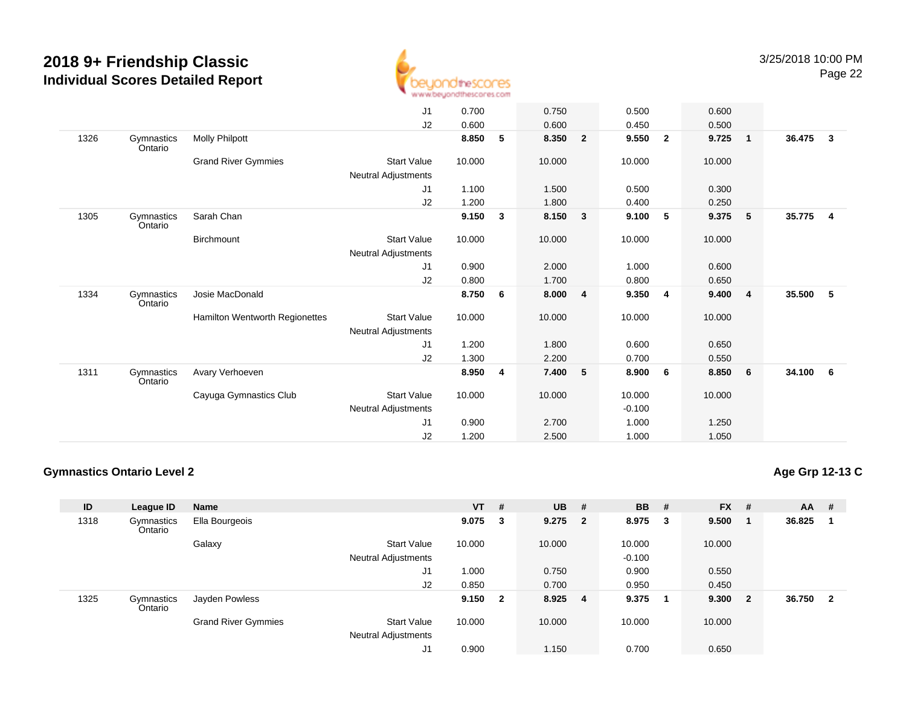

|      |                       |                                | J1                         | 0.700  |   | 0.750  |                         | 0.500    |                | 0.600  |                 |        |                         |
|------|-----------------------|--------------------------------|----------------------------|--------|---|--------|-------------------------|----------|----------------|--------|-----------------|--------|-------------------------|
|      |                       |                                | J2                         | 0.600  |   | 0.600  |                         | 0.450    |                | 0.500  |                 |        |                         |
| 1326 | Gymnastics<br>Ontario | <b>Molly Philpott</b>          |                            | 8.850  | 5 | 8.350  | $\overline{2}$          | 9.550    | $\overline{2}$ | 9.725  | $\overline{1}$  | 36.475 | $\overline{\mathbf{3}}$ |
|      |                       | <b>Grand River Gymmies</b>     | <b>Start Value</b>         | 10.000 |   | 10.000 |                         | 10.000   |                | 10.000 |                 |        |                         |
|      |                       |                                | Neutral Adjustments        |        |   |        |                         |          |                |        |                 |        |                         |
|      |                       |                                | J <sub>1</sub>             | 1.100  |   | 1.500  |                         | 0.500    |                | 0.300  |                 |        |                         |
|      |                       |                                | J2                         | 1.200  |   | 1.800  |                         | 0.400    |                | 0.250  |                 |        |                         |
| 1305 | Gymnastics<br>Ontario | Sarah Chan                     |                            | 9.150  | 3 | 8.150  | $\overline{\mathbf{3}}$ | 9.100    | 5              | 9.375  | $-5$            | 35.775 | $\overline{4}$          |
|      |                       | Birchmount                     | <b>Start Value</b>         | 10.000 |   | 10.000 |                         | 10.000   |                | 10.000 |                 |        |                         |
|      |                       |                                | <b>Neutral Adjustments</b> |        |   |        |                         |          |                |        |                 |        |                         |
|      |                       |                                | J <sub>1</sub>             | 0.900  |   | 2.000  |                         | 1.000    |                | 0.600  |                 |        |                         |
|      |                       |                                | J2                         | 0.800  |   | 1.700  |                         | 0.800    |                | 0.650  |                 |        |                         |
| 1334 | Gymnastics<br>Ontario | Josie MacDonald                |                            | 8.750  | 6 | 8.000  | 4                       | 9.350    | 4              | 9.400  | $\overline{4}$  | 35.500 | - 5                     |
|      |                       | Hamilton Wentworth Regionettes | <b>Start Value</b>         | 10.000 |   | 10.000 |                         | 10.000   |                | 10.000 |                 |        |                         |
|      |                       |                                | Neutral Adjustments        |        |   |        |                         |          |                |        |                 |        |                         |
|      |                       |                                | J <sub>1</sub>             | 1.200  |   | 1.800  |                         | 0.600    |                | 0.650  |                 |        |                         |
|      |                       |                                | J2                         | 1.300  |   | 2.200  |                         | 0.700    |                | 0.550  |                 |        |                         |
| 1311 | Gymnastics<br>Ontario | Avary Verhoeven                |                            | 8.950  | 4 | 7.400  | 5                       | 8.900    | 6              | 8.850  | $6\overline{6}$ | 34.100 | 6                       |
|      |                       | Cayuga Gymnastics Club         | <b>Start Value</b>         | 10.000 |   | 10.000 |                         | 10.000   |                | 10.000 |                 |        |                         |
|      |                       |                                | <b>Neutral Adjustments</b> |        |   |        |                         | $-0.100$ |                |        |                 |        |                         |
|      |                       |                                | J1                         | 0.900  |   | 2.700  |                         | 1.000    |                | 1.250  |                 |        |                         |
|      |                       |                                | J2                         | 1.200  |   | 2.500  |                         | 1.000    |                | 1.050  |                 |        |                         |
|      |                       |                                |                            |        |   |        |                         |          |                |        |                 |        |                         |

#### **Gymnastics Ontario Level 2**

**Age Grp 12-13 C**

| ID   | League ID             | <b>Name</b>                |                                                  | $VT$ #  |   | <b>UB</b> | - # | <b>BB</b> | #  | <b>FX</b> | #              | $AA$ # |                         |
|------|-----------------------|----------------------------|--------------------------------------------------|---------|---|-----------|-----|-----------|----|-----------|----------------|--------|-------------------------|
| 1318 | Gymnastics<br>Ontario | Ella Bourgeois             |                                                  | 9.075   | 3 | $9.275$ 2 |     | 8.975     | 3  | 9.500     |                | 36.825 |                         |
|      |                       | Galaxy                     | <b>Start Value</b>                               | 10.000  |   | 10.000    |     | 10.000    |    | 10.000    |                |        |                         |
|      |                       |                            | <b>Neutral Adjustments</b>                       |         |   |           |     | $-0.100$  |    |           |                |        |                         |
|      |                       |                            | J1                                               | 1.000   |   | 0.750     |     | 0.900     |    | 0.550     |                |        |                         |
|      |                       |                            | J2                                               | 0.850   |   | 0.700     |     | 0.950     |    | 0.450     |                |        |                         |
| 1325 | Gymnastics<br>Ontario | Jayden Powless             |                                                  | 9.150 2 |   | 8.925     | - 4 | 9.375     | -1 | 9.300     | $\overline{2}$ | 36.750 | $\overline{\mathbf{2}}$ |
|      |                       | <b>Grand River Gymmies</b> | <b>Start Value</b><br><b>Neutral Adjustments</b> | 10.000  |   | 10.000    |     | 10.000    |    | 10.000    |                |        |                         |
|      |                       |                            | J1                                               | 0.900   |   | 1.150     |     | 0.700     |    | 0.650     |                |        |                         |